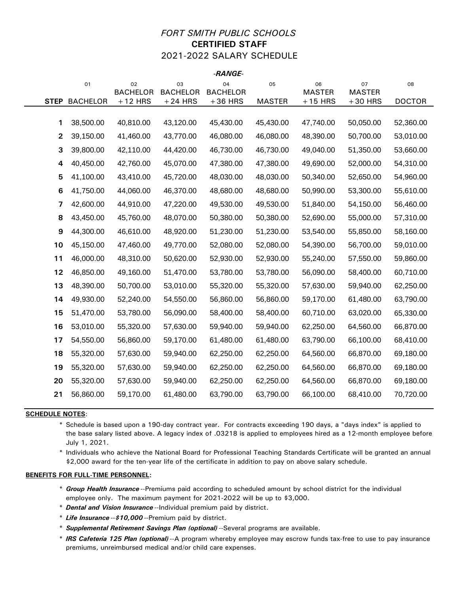## *FORT SMITH PUBLIC SCHOOLS* **CERTIFIED STAFF** 2021-2022 SALARY SCHEDULE

*-RANGE-*

|                  |                 |                       |                       | -naivuc-              |               |                     |                     |               |
|------------------|-----------------|-----------------------|-----------------------|-----------------------|---------------|---------------------|---------------------|---------------|
|                  | 01              | 02<br><b>BACHELOR</b> | 03<br><b>BACHELOR</b> | 04<br><b>BACHELOR</b> | 05            | 06<br><b>MASTER</b> | 07<br><b>MASTER</b> | 08            |
| <b>STEP</b>      | <b>BACHELOR</b> | $+12$ HRS             | $+24$ HRS             | $+36$ HRS             | <b>MASTER</b> | $+15$ HRS           | $+30$ HRS           | <b>DOCTOR</b> |
|                  |                 |                       |                       |                       |               |                     |                     |               |
| 1                | 38,500.00       | 40,810.00             | 43,120.00             | 45,430.00             | 45,430.00     | 47,740.00           | 50,050.00           | 52,360.00     |
| $\mathbf{2}$     | 39,150.00       | 41,460.00             | 43,770.00             | 46,080.00             | 46,080.00     | 48,390.00           | 50,700.00           | 53,010.00     |
| 3                | 39,800.00       | 42,110.00             | 44,420.00             | 46,730.00             | 46,730.00     | 49,040.00           | 51,350.00           | 53,660.00     |
| 4                | 40,450.00       | 42,760.00             | 45,070.00             | 47,380.00             | 47,380.00     | 49,690.00           | 52,000.00           | 54,310.00     |
| 5                | 41,100.00       | 43,410.00             | 45,720.00             | 48,030.00             | 48,030.00     | 50,340.00           | 52,650.00           | 54,960.00     |
| $\bf 6$          | 41,750.00       | 44,060.00             | 46,370.00             | 48,680.00             | 48,680.00     | 50,990.00           | 53,300.00           | 55,610.00     |
| 7                | 42,600.00       | 44,910.00             | 47,220.00             | 49,530.00             | 49,530.00     | 51,840.00           | 54,150.00           | 56,460.00     |
| 8                | 43,450.00       | 45,760.00             | 48,070.00             | 50,380.00             | 50,380.00     | 52,690.00           | 55,000.00           | 57,310.00     |
| $\boldsymbol{9}$ | 44,300.00       | 46,610.00             | 48,920.00             | 51,230.00             | 51,230.00     | 53,540.00           | 55,850.00           | 58,160.00     |
| 10               | 45,150.00       | 47,460.00             | 49,770.00             | 52,080.00             | 52,080.00     | 54,390.00           | 56,700.00           | 59,010.00     |
| 11               | 46,000.00       | 48,310.00             | 50,620.00             | 52,930.00             | 52,930.00     | 55,240.00           | 57,550.00           | 59,860.00     |
| 12               | 46,850.00       | 49,160.00             | 51,470.00             | 53,780.00             | 53,780.00     | 56,090.00           | 58,400.00           | 60,710.00     |
| 13               | 48,390.00       | 50,700.00             | 53,010.00             | 55,320.00             | 55,320.00     | 57,630.00           | 59,940.00           | 62,250.00     |
| 14               | 49,930.00       | 52,240.00             | 54,550.00             | 56,860.00             | 56,860.00     | 59,170.00           | 61,480.00           | 63,790.00     |
| 15               | 51,470.00       | 53,780.00             | 56,090.00             | 58,400.00             | 58,400.00     | 60,710.00           | 63,020.00           | 65,330.00     |
| 16               | 53,010.00       | 55,320.00             | 57,630.00             | 59,940.00             | 59,940.00     | 62,250.00           | 64,560.00           | 66,870.00     |
| 17               | 54,550.00       | 56,860.00             | 59,170.00             | 61,480.00             | 61,480.00     | 63,790.00           | 66,100.00           | 68,410.00     |
| 18               | 55,320.00       | 57,630.00             | 59,940.00             | 62,250.00             | 62,250.00     | 64,560.00           | 66,870.00           | 69,180.00     |
| 19               | 55,320.00       | 57,630.00             | 59,940.00             | 62,250.00             | 62,250.00     | 64,560.00           | 66,870.00           | 69,180.00     |
| 20               | 55,320.00       | 57,630.00             | 59,940.00             | 62,250.00             | 62,250.00     | 64,560.00           | 66,870.00           | 69,180.00     |
| 21               | 56,860.00       | 59,170.00             | 61,480.00             | 63,790.00             | 63,790.00     | 66,100.00           | 68,410.00           | 70,720.00     |
|                  |                 |                       |                       |                       |               |                     |                     |               |

#### **SCHEDULE NOTES**:

\* Schedule is based upon a 190-day contract year. For contracts exceeding 190 days, a "days index" is applied to the base salary listed above. A legacy index of .03218 is applied to employees hired as a 12-month employee before July 1, 2021.

\* Individuals who achieve the National Board for Professional Teaching Standards Certificate will be granted an annual \$2,000 award for the ten-year life of the certificate in addition to pay on above salary schedule.

- \* *Group Health Insurance* --Premiums paid according to scheduled amount by school district for the individual employee only. The maximum payment for 2021-2022 will be up to \$3,000.
- \* *Dental and Vision Insurance* --Individual premium paid by district.
- \* *Life Insurance* --*\$10,000* --Premium paid by district.
- \* *Supplemental Retirement Savings Plan (optional)* --Several programs are available.
- \* *IRS Cafeteria 125 Plan (optional)* --A program whereby employee may escrow funds tax-free to use to pay insurance premiums, unreimbursed medical and/or child care expenses.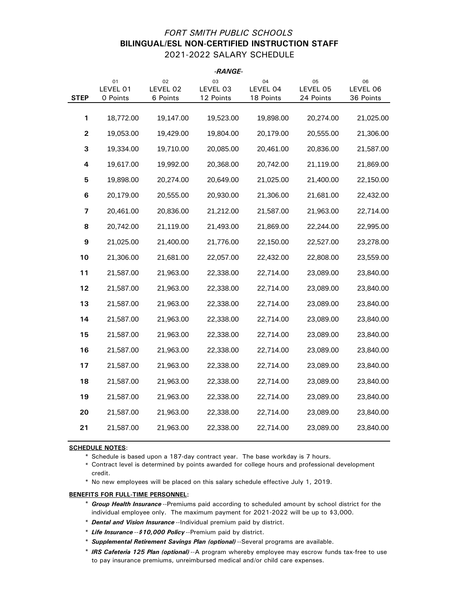## *FORT SMITH PUBLIC SCHOOLS* **BILINGUAL/ESL NON-CERTIFIED INSTRUCTION STAFF** 2021-2022 SALARY SCHEDULE

| -RANGE-     |                            |                            |                             |                             |                             |                             |
|-------------|----------------------------|----------------------------|-----------------------------|-----------------------------|-----------------------------|-----------------------------|
| <b>STEP</b> | 01<br>LEVEL 01<br>0 Points | 02<br>LEVEL 02<br>6 Points | 03<br>LEVEL 03<br>12 Points | 04<br>LEVEL 04<br>18 Points | 05<br>LEVEL 05<br>24 Points | 06<br>LEVEL 06<br>36 Points |
|             |                            |                            |                             |                             |                             |                             |
| 1           | 18,772.00                  | 19,147.00                  | 19,523.00                   | 19,898.00                   | 20,274.00                   | 21,025.00                   |
| $\mathbf 2$ | 19,053.00                  | 19,429.00                  | 19,804.00                   | 20,179.00                   | 20,555.00                   | 21,306.00                   |
| 3           | 19,334.00                  | 19,710.00                  | 20,085.00                   | 20,461.00                   | 20,836.00                   | 21,587.00                   |
| 4           | 19,617.00                  | 19,992.00                  | 20,368.00                   | 20,742.00                   | 21,119.00                   | 21,869.00                   |
| 5           | 19,898.00                  | 20,274.00                  | 20,649.00                   | 21,025.00                   | 21,400.00                   | 22,150.00                   |
| 6           | 20,179.00                  | 20,555.00                  | 20,930.00                   | 21,306.00                   | 21,681.00                   | 22,432.00                   |
| 7           | 20,461.00                  | 20,836.00                  | 21,212.00                   | 21,587.00                   | 21,963.00                   | 22,714.00                   |
| 8           | 20,742.00                  | 21,119.00                  | 21,493.00                   | 21,869.00                   | 22,244.00                   | 22,995.00                   |
| 9           | 21,025.00                  | 21,400.00                  | 21,776.00                   | 22,150.00                   | 22,527.00                   | 23,278.00                   |
| 10          | 21,306.00                  | 21,681.00                  | 22,057.00                   | 22,432.00                   | 22,808.00                   | 23,559.00                   |
| 11          | 21,587.00                  | 21,963.00                  | 22,338.00                   | 22,714.00                   | 23,089.00                   | 23,840.00                   |
| 12          | 21,587.00                  | 21,963.00                  | 22,338.00                   | 22,714.00                   | 23,089.00                   | 23,840.00                   |
| 13          | 21,587.00                  | 21,963.00                  | 22,338.00                   | 22,714.00                   | 23,089.00                   | 23,840.00                   |
| 14          | 21,587.00                  | 21,963.00                  | 22,338.00                   | 22,714.00                   | 23,089.00                   | 23,840.00                   |
| 15          | 21,587.00                  | 21,963.00                  | 22,338.00                   | 22,714.00                   | 23,089.00                   | 23,840.00                   |
| 16          | 21,587.00                  | 21,963.00                  | 22,338.00                   | 22,714.00                   | 23,089.00                   | 23,840.00                   |
| 17          | 21,587.00                  | 21,963.00                  | 22,338.00                   | 22,714.00                   | 23,089.00                   | 23,840.00                   |
| 18          | 21,587.00                  | 21,963.00                  | 22,338.00                   | 22,714.00                   | 23,089.00                   | 23,840.00                   |
| 19          | 21,587.00                  | 21,963.00                  | 22,338.00                   | 22,714.00                   | 23,089.00                   | 23,840.00                   |
| 20          | 21,587.00                  | 21,963.00                  | 22,338.00                   | 22,714.00                   | 23,089.00                   | 23,840.00                   |
| 21          | 21,587.00                  | 21,963.00                  | 22,338.00                   | 22,714.00                   | 23,089.00                   | 23,840.00                   |
|             |                            |                            |                             |                             |                             |                             |

#### **SCHEDULE NOTES**:

\* Schedule is based upon a 187-day contract year. The base workday is 7 hours.

\* Contract level is determined by points awarded for college hours and professional development credit.

\* No new employees will be placed on this salary schedule effective July 1, 2019.

- \* *Group Health Insurance* --Premiums paid according to scheduled amount by school district for the individual employee only. The maximum payment for 2021-2022 will be up to \$3,000.
- \* *Dental and Vision Insurance* --Individual premium paid by district.
- \* *Life Insurance* --*\$10,000 Policy* --Premium paid by district.
- \* *Supplemental Retirement Savings Plan (optional)* --Several programs are available.
- \* *IRS Cafeteria 125 Plan (optional)* --A program whereby employee may escrow funds tax-free to use to pay insurance premiums, unreimbursed medical and/or child care expenses.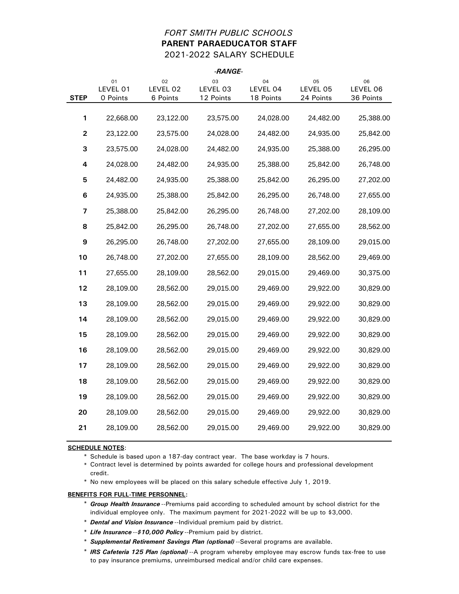## *FORT SMITH PUBLIC SCHOOLS* **PARENT PARAEDUCATOR STAFF** 2021-2022 SALARY SCHEDULE

|             |                            |                            | -RANGE-                     |                             |                             |                             |
|-------------|----------------------------|----------------------------|-----------------------------|-----------------------------|-----------------------------|-----------------------------|
| <b>STEP</b> | 01<br>LEVEL 01<br>0 Points | 02<br>LEVEL 02<br>6 Points | 03<br>LEVEL 03<br>12 Points | 04<br>LEVEL 04<br>18 Points | 05<br>LEVEL 05<br>24 Points | 06<br>LEVEL 06<br>36 Points |
|             |                            |                            |                             |                             |                             |                             |
| 1           | 22,668.00                  | 23,122.00                  | 23,575.00                   | 24,028.00                   | 24,482.00                   | 25,388.00                   |
| 2           | 23,122.00                  | 23,575.00                  | 24,028.00                   | 24,482.00                   | 24,935.00                   | 25,842.00                   |
| 3           | 23,575.00                  | 24,028.00                  | 24,482.00                   | 24,935.00                   | 25,388.00                   | 26,295.00                   |
| 4           | 24,028.00                  | 24,482.00                  | 24,935.00                   | 25,388.00                   | 25,842.00                   | 26,748.00                   |
| 5           | 24,482.00                  | 24,935.00                  | 25,388.00                   | 25,842.00                   | 26,295.00                   | 27,202.00                   |
| 6           | 24,935.00                  | 25,388.00                  | 25,842.00                   | 26,295.00                   | 26,748.00                   | 27,655.00                   |
| 7           | 25,388.00                  | 25,842.00                  | 26,295.00                   | 26,748.00                   | 27,202.00                   | 28,109.00                   |
| 8           | 25,842.00                  | 26,295.00                  | 26,748.00                   | 27,202.00                   | 27,655.00                   | 28,562.00                   |
| 9           | 26,295.00                  | 26,748.00                  | 27,202.00                   | 27,655.00                   | 28,109.00                   | 29,015.00                   |
| 10          | 26,748.00                  | 27,202.00                  | 27,655.00                   | 28,109.00                   | 28,562.00                   | 29,469.00                   |
| 11          | 27,655.00                  | 28,109.00                  | 28,562.00                   | 29,015.00                   | 29,469.00                   | 30,375.00                   |
| 12          | 28,109.00                  | 28,562.00                  | 29,015.00                   | 29,469.00                   | 29,922.00                   | 30,829.00                   |
| 13          | 28,109.00                  | 28,562.00                  | 29,015.00                   | 29,469.00                   | 29,922.00                   | 30,829.00                   |
| 14          | 28,109.00                  | 28,562.00                  | 29,015.00                   | 29,469.00                   | 29,922.00                   | 30,829.00                   |
| 15          | 28,109.00                  | 28,562.00                  | 29,015.00                   | 29,469.00                   | 29,922.00                   | 30,829.00                   |
| 16          | 28,109.00                  | 28,562.00                  | 29,015.00                   | 29,469.00                   | 29,922.00                   | 30,829.00                   |
| 17          | 28,109.00                  | 28,562.00                  | 29,015.00                   | 29,469.00                   | 29,922.00                   | 30,829.00                   |
| 18          | 28,109.00                  | 28,562.00                  | 29,015.00                   | 29,469.00                   | 29,922.00                   | 30,829.00                   |
| 19          | 28,109.00                  | 28,562.00                  | 29,015.00                   | 29,469.00                   | 29,922.00                   | 30,829.00                   |
| 20          | 28,109.00                  | 28,562.00                  | 29,015.00                   | 29,469.00                   | 29,922.00                   | 30,829.00                   |
| 21          | 28,109.00                  | 28,562.00                  | 29,015.00                   | 29,469.00                   | 29,922.00                   | 30,829.00                   |
|             |                            |                            |                             |                             |                             |                             |

#### **SCHEDULE NOTES**:

\* Schedule is based upon a 187-day contract year. The base workday is 7 hours.

\* Contract level is determined by points awarded for college hours and professional development credit.

\* No new employees will be placed on this salary schedule effective July 1, 2019.

- \* *Group Health Insurance* --Premiums paid according to scheduled amount by school district for the individual employee only. The maximum payment for 2021-2022 will be up to \$3,000.
- \* *Dental and Vision Insurance* --Individual premium paid by district.
- \* *Life Insurance* --*\$10,000 Policy* --Premium paid by district.
- \* *Supplemental Retirement Savings Plan (optional)* --Several programs are available.
- \* *IRS Cafeteria 125 Plan (optional)* --A program whereby employee may escrow funds tax-free to use to pay insurance premiums, unreimbursed medical and/or child care expenses.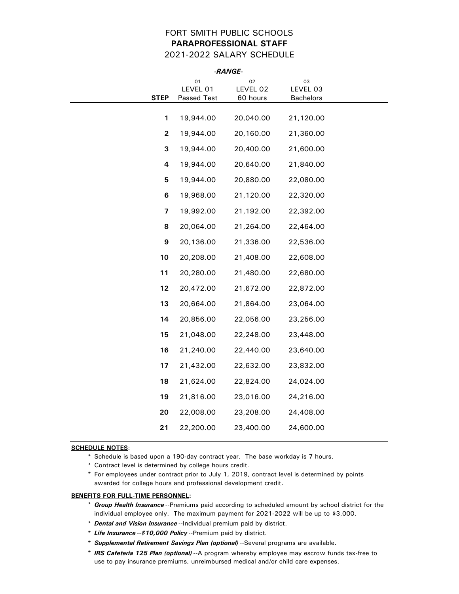## FORT SMITH PUBLIC SCHOOLS **PARAPROFESSIONAL STAFF** 2021-2022 SALARY SCHEDULE

|                         | -RANGE-                       |                            |                                    |  |
|-------------------------|-------------------------------|----------------------------|------------------------------------|--|
| <b>STEP</b>             | 01<br>LEVEL 01<br>Passed Test | 02<br>LEVEL 02<br>60 hours | 03<br>LEVEL 03<br><b>Bachelors</b> |  |
| $\mathbf{1}$            | 19,944.00                     | 20,040.00                  | 21,120.00                          |  |
| $\overline{\mathbf{c}}$ | 19,944.00                     | 20,160.00                  | 21,360.00                          |  |
| 3                       | 19,944.00                     | 20,400.00                  | 21,600.00                          |  |
| 4                       | 19,944.00                     | 20,640.00                  | 21,840.00                          |  |
| 5                       | 19,944.00                     | 20,880.00                  | 22,080.00                          |  |
| 6                       | 19,968.00                     | 21,120.00                  | 22,320.00                          |  |
| 7                       | 19,992.00                     | 21,192.00                  | 22,392.00                          |  |
| 8                       | 20,064.00                     | 21,264.00                  | 22,464.00                          |  |
| 9                       | 20,136.00                     | 21,336.00                  | 22,536.00                          |  |
| 10                      | 20,208.00                     | 21,408.00                  | 22,608.00                          |  |
| 11                      | 20,280.00                     | 21,480.00                  | 22,680.00                          |  |
| 12                      | 20,472.00                     | 21,672.00                  | 22,872.00                          |  |
| 13                      | 20,664.00                     | 21,864.00                  | 23,064.00                          |  |
| 14                      | 20,856.00                     | 22,056.00                  | 23,256.00                          |  |
| 15                      | 21,048.00                     | 22,248.00                  | 23,448.00                          |  |
| 16                      | 21,240.00                     | 22,440.00                  | 23,640.00                          |  |
| 17                      | 21,432.00                     | 22,632.00                  | 23,832.00                          |  |
| 18                      | 21,624.00                     | 22,824.00                  | 24,024.00                          |  |
| 19                      | 21,816.00                     | 23,016.00                  | 24,216.00                          |  |
| 20                      | 22,008.00                     | 23,208.00                  | 24,408.00                          |  |
| 21                      | 22,200.00                     | 23,400.00                  | 24,600.00                          |  |

### **SCHEDULE NOTES**:

\* Schedule is based upon a 190-day contract year. The base workday is 7 hours.

\* Contract level is determined by college hours credit.

\* For employees under contract prior to July 1, 2019, contract level is determined by points awarded for college hours and professional development credit.

- \* *Group Health Insurance* --Premiums paid according to scheduled amount by school district for the individual employee only. The maximum payment for 2021-2022 will be up to \$3,000.
- \* *Dental and Vision Insurance* --Individual premium paid by district.
- \* *Life Insurance* --*\$10,000 Policy* --Premium paid by district.
- \* *Supplemental Retirement Savings Plan (optional)* --Several programs are available.
- \* *IRS Cafeteria 125 Plan (optional)* --A program whereby employee may escrow funds tax-free to use to pay insurance premiums, unreimbursed medical and/or child care expenses.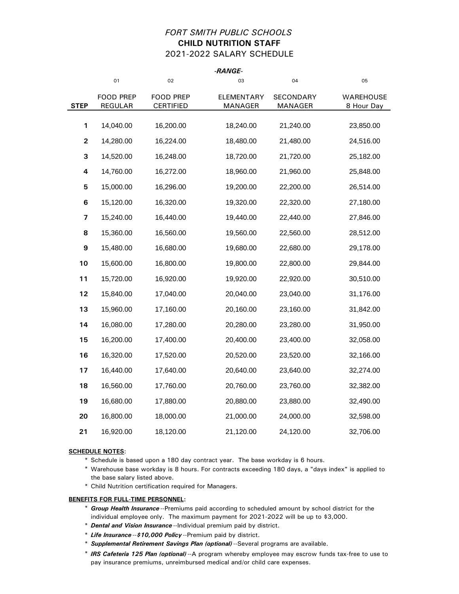## *FORT SMITH PUBLIC SCHOOLS* **CHILD NUTRITION STAFF** 2021-2022 SALARY SCHEDULE

*-RANGE-*

|                         |                |                  | -KANGE-    |           |            |
|-------------------------|----------------|------------------|------------|-----------|------------|
|                         | 01             | 02               | 03         | 04        | 05         |
|                         | FOOD PREP      | <b>FOOD PREP</b> | ELEMENTARY | SECONDARY | WAREHOUSE  |
| <b>STEP</b>             | <b>REGULAR</b> | <b>CERTIFIED</b> | MANAGER    | MANAGER   | 8 Hour Day |
| 1                       | 14,040.00      | 16,200.00        | 18,240.00  | 21,240.00 | 23,850.00  |
| $\overline{\mathbf{2}}$ | 14,280.00      | 16,224.00        | 18,480.00  | 21,480.00 | 24,516.00  |
| 3                       | 14,520.00      | 16,248.00        | 18,720.00  | 21,720.00 | 25,182.00  |
| 4                       | 14,760.00      | 16,272.00        | 18,960.00  | 21,960.00 | 25,848.00  |
| 5                       | 15,000.00      | 16,296.00        | 19,200.00  | 22,200.00 | 26,514.00  |
| 6                       | 15,120.00      | 16,320.00        | 19,320.00  | 22,320.00 | 27,180.00  |
| 7                       | 15,240.00      | 16,440.00        | 19,440.00  | 22,440.00 | 27,846.00  |
| 8                       | 15,360.00      | 16,560.00        | 19,560.00  | 22,560.00 | 28,512.00  |
| 9                       | 15,480.00      | 16,680.00        | 19,680.00  | 22,680.00 | 29,178.00  |
| 10                      | 15,600.00      | 16,800.00        | 19,800.00  | 22,800.00 | 29,844.00  |
| 11                      | 15,720.00      | 16,920.00        | 19,920.00  | 22,920.00 | 30,510.00  |
| 12                      | 15,840.00      | 17,040.00        | 20,040.00  | 23,040.00 | 31,176.00  |
| 13                      | 15,960.00      | 17,160.00        | 20,160.00  | 23,160.00 | 31,842.00  |
| 14                      | 16,080.00      | 17,280.00        | 20,280.00  | 23,280.00 | 31,950.00  |
| 15                      | 16,200.00      | 17,400.00        | 20,400.00  | 23,400.00 | 32,058.00  |
| 16                      | 16,320.00      | 17,520.00        | 20,520.00  | 23,520.00 | 32,166.00  |
| 17                      | 16,440.00      | 17,640.00        | 20,640.00  | 23,640.00 | 32,274.00  |
| 18                      | 16,560.00      | 17,760.00        | 20,760.00  | 23,760.00 | 32,382.00  |
| 19                      | 16,680.00      | 17,880.00        | 20,880.00  | 23,880.00 | 32,490.00  |
| 20                      | 16,800.00      | 18,000.00        | 21,000.00  | 24,000.00 | 32,598.00  |
| 21                      | 16,920.00      | 18,120.00        | 21,120.00  | 24,120.00 | 32,706.00  |

#### **SCHEDULE NOTES**:

- \* Schedule is based upon a 180 day contract year. The base workday is 6 hours.
- \* Warehouse base workday is 8 hours. For contracts exceeding 180 days, a "days index" is applied to the base salary listed above.
- \* Child Nutrition certification required for Managers.

- \* *Group Health Insurance* --Premiums paid according to scheduled amount by school district for the individual employee only. The maximum payment for 2021-2022 will be up to \$3,000.
- \* *Dental and Vision Insurance* --Individual premium paid by district.
- \* *Life Insurance* --*\$10,000 Policy* --Premium paid by district.
- \* *Supplemental Retirement Savings Plan (optional)* --Several programs are available.
- \* *IRS Cafeteria 125 Plan (optional)* --A program whereby employee may escrow funds tax-free to use to pay insurance premiums, unreimbursed medical and/or child care expenses.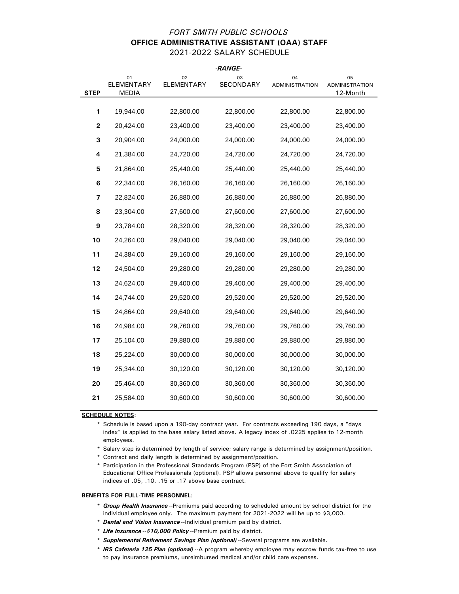## *FORT SMITH PUBLIC SCHOOLS* **OFFICE ADMINISTRATIVE ASSISTANT (OAA) STAFF** 2021-2022 SALARY SCHEDULE

|                |                           |                  | -RANGE-         |                             |                                         |
|----------------|---------------------------|------------------|-----------------|-----------------------------|-----------------------------------------|
| <b>STEP</b>    | 01<br>ELEMENTARY<br>MEDIA | 02<br>ELEMENTARY | 03<br>SECONDARY | 04<br><b>ADMINISTRATION</b> | 05<br><b>ADMINISTRATION</b><br>12-Month |
|                |                           |                  |                 |                             |                                         |
| 1              | 19,944.00                 | 22,800.00        | 22,800.00       | 22,800.00                   | 22,800.00                               |
| $\overline{2}$ | 20,424.00                 | 23,400.00        | 23,400.00       | 23,400.00                   | 23,400.00                               |
| 3              | 20,904.00                 | 24,000.00        | 24,000.00       | 24,000.00                   | 24,000.00                               |
| 4              | 21,384.00                 | 24,720.00        | 24,720.00       | 24,720.00                   | 24,720.00                               |
| 5              | 21,864.00                 | 25,440.00        | 25,440.00       | 25,440.00                   | 25,440.00                               |
| 6              | 22,344.00                 | 26,160.00        | 26,160.00       | 26,160.00                   | 26,160.00                               |
| 7              | 22,824.00                 | 26,880.00        | 26,880.00       | 26,880.00                   | 26,880.00                               |
| 8              | 23,304.00                 | 27,600.00        | 27,600.00       | 27,600.00                   | 27,600.00                               |
| 9              | 23,784.00                 | 28,320.00        | 28,320.00       | 28,320.00                   | 28,320.00                               |
| 10             | 24,264.00                 | 29,040.00        | 29,040.00       | 29,040.00                   | 29,040.00                               |
| 11             | 24,384.00                 | 29,160.00        | 29,160.00       | 29,160.00                   | 29,160.00                               |
| 12             | 24,504.00                 | 29,280.00        | 29,280.00       | 29,280.00                   | 29,280.00                               |
| 13             | 24,624.00                 | 29,400.00        | 29,400.00       | 29,400.00                   | 29,400.00                               |
| 14             | 24,744.00                 | 29,520.00        | 29,520.00       | 29,520.00                   | 29,520.00                               |
| 15             | 24,864.00                 | 29,640.00        | 29,640.00       | 29,640.00                   | 29,640.00                               |
| 16             | 24,984.00                 | 29,760.00        | 29,760.00       | 29,760.00                   | 29,760.00                               |
| 17             | 25,104.00                 | 29,880.00        | 29,880.00       | 29,880.00                   | 29,880.00                               |
| 18             | 25,224.00                 | 30,000.00        | 30,000.00       | 30,000.00                   | 30,000.00                               |
| 19             | 25,344.00                 | 30,120.00        | 30,120.00       | 30,120.00                   | 30,120.00                               |
| 20             | 25,464.00                 | 30,360.00        | 30,360.00       | 30,360.00                   | 30,360.00                               |
| 21             | 25,584.00                 | 30,600.00        | 30,600.00       | 30,600.00                   | 30,600.00                               |
|                |                           |                  |                 |                             |                                         |

**SCHEDULE NOTES**:

\* Schedule is based upon a 190-day contract year. For contracts exceeding 190 days, a "days index" is applied to the base salary listed above. A legacy index of .0225 applies to 12-month employees.

\* Salary step is determined by length of service; salary range is determined by assignment/position.

\* Contract and daily length is determined by assignment/position.

\* Participation in the Professional Standards Program (PSP) of the Fort Smith Association of Educational Office Professionals (optional). PSP allows personnel above to qualify for salary indices of .05, .10, .15 or .17 above base contract.

- \* *Group Health Insurance* --Premiums paid according to scheduled amount by school district for the individual employee only. The maximum payment for 2021-2022 will be up to \$3,000.
- \* *Dental and Vision Insurance* --Individual premium paid by district.
- \* *Life Insurance* --*\$10,000 Policy* --Premium paid by district.
- \* *Supplemental Retirement Savings Plan (optional)* --Several programs are available.
- \* *IRS Cafeteria 125 Plan (optional)* --A program whereby employee may escrow funds tax-free to use to pay insurance premiums, unreimbursed medical and/or child care expenses.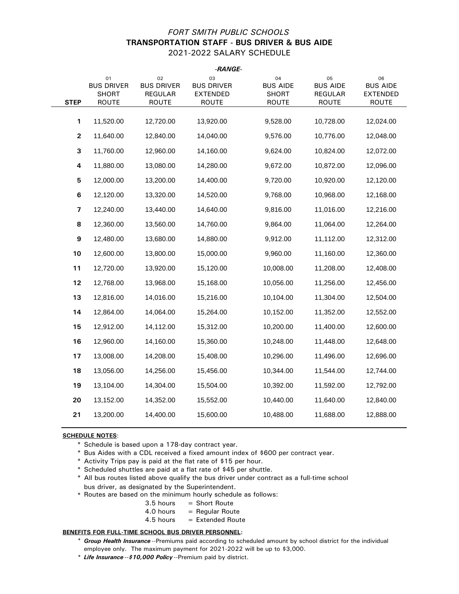## *FORT SMITH PUBLIC SCHOOLS* **TRANSPORTATION STAFF - BUS DRIVER & BUS AIDE** 2021-2022 SALARY SCHEDULE

|                         |                                                  |                                                    | -RANGE-                                                    |                                                       |                                                         |                                                          |
|-------------------------|--------------------------------------------------|----------------------------------------------------|------------------------------------------------------------|-------------------------------------------------------|---------------------------------------------------------|----------------------------------------------------------|
| <b>STEP</b>             | 01<br><b>BUS DRIVER</b><br>SHORT<br><b>ROUTE</b> | 02<br><b>BUS DRIVER</b><br>REGULAR<br><b>ROUTE</b> | 03<br><b>BUS DRIVER</b><br><b>EXTENDED</b><br><b>ROUTE</b> | 04<br><b>BUS AIDE</b><br><b>SHORT</b><br><b>ROUTE</b> | 05<br><b>BUS AIDE</b><br><b>REGULAR</b><br><b>ROUTE</b> | 06<br><b>BUS AIDE</b><br><b>EXTENDED</b><br><b>ROUTE</b> |
|                         |                                                  |                                                    |                                                            |                                                       |                                                         |                                                          |
| 1                       | 11,520.00                                        | 12,720.00                                          | 13,920.00                                                  | 9,528.00                                              | 10,728.00                                               | 12,024.00                                                |
| $\mathbf 2$             | 11,640.00                                        | 12,840.00                                          | 14,040.00                                                  | 9,576.00                                              | 10,776.00                                               | 12,048.00                                                |
| 3                       | 11,760.00                                        | 12,960.00                                          | 14,160.00                                                  | 9,624.00                                              | 10,824.00                                               | 12,072.00                                                |
| 4                       | 11,880.00                                        | 13,080.00                                          | 14,280.00                                                  | 9,672.00                                              | 10,872.00                                               | 12,096.00                                                |
| 5                       | 12,000.00                                        | 13,200.00                                          | 14,400.00                                                  | 9,720.00                                              | 10,920.00                                               | 12,120.00                                                |
| 6                       | 12,120.00                                        | 13,320.00                                          | 14,520.00                                                  | 9,768.00                                              | 10,968.00                                               | 12,168.00                                                |
| $\overline{\mathbf{z}}$ | 12,240.00                                        | 13,440.00                                          | 14,640.00                                                  | 9,816.00                                              | 11,016.00                                               | 12,216.00                                                |
| 8                       | 12,360.00                                        | 13,560.00                                          | 14,760.00                                                  | 9,864.00                                              | 11,064.00                                               | 12,264.00                                                |
| 9                       | 12,480.00                                        | 13,680.00                                          | 14,880.00                                                  | 9,912.00                                              | 11,112.00                                               | 12,312.00                                                |
| 10                      | 12,600.00                                        | 13,800.00                                          | 15,000.00                                                  | 9,960.00                                              | 11,160.00                                               | 12,360.00                                                |
| 11                      | 12,720.00                                        | 13,920.00                                          | 15,120.00                                                  | 10,008.00                                             | 11,208.00                                               | 12,408.00                                                |
| 12                      | 12,768.00                                        | 13,968.00                                          | 15,168.00                                                  | 10,056.00                                             | 11,256.00                                               | 12,456.00                                                |
| 13                      | 12,816.00                                        | 14,016.00                                          | 15,216.00                                                  | 10,104.00                                             | 11,304.00                                               | 12,504.00                                                |
| 14                      | 12,864.00                                        | 14,064.00                                          | 15,264.00                                                  | 10,152.00                                             | 11,352.00                                               | 12,552.00                                                |
| 15                      | 12,912.00                                        | 14,112.00                                          | 15,312.00                                                  | 10,200.00                                             | 11,400.00                                               | 12,600.00                                                |
| 16                      | 12,960.00                                        | 14,160.00                                          | 15,360.00                                                  | 10,248.00                                             | 11,448.00                                               | 12,648.00                                                |
| 17                      | 13,008.00                                        | 14,208.00                                          | 15,408.00                                                  | 10,296.00                                             | 11,496.00                                               | 12,696.00                                                |
| 18                      | 13,056.00                                        | 14,256.00                                          | 15,456.00                                                  | 10,344.00                                             | 11,544.00                                               | 12,744.00                                                |
| 19                      | 13,104.00                                        | 14,304.00                                          | 15,504.00                                                  | 10,392.00                                             | 11,592.00                                               | 12,792.00                                                |
| 20                      | 13,152.00                                        | 14,352.00                                          | 15,552.00                                                  | 10,440.00                                             | 11,640.00                                               | 12,840.00                                                |
| 21                      | 13,200.00                                        | 14,400.00                                          | 15,600.00                                                  | 10,488.00                                             | 11,688.00                                               | 12,888.00                                                |
|                         |                                                  |                                                    |                                                            |                                                       |                                                         |                                                          |

## **SCHEDULE NOTES**:

- \* Schedule is based upon a 178-day contract year.
- \* Bus Aides with a CDL received a fixed amount index of \$600 per contract year.
- \* Activity Trips pay is paid at the flat rate of \$15 per hour.
- \* Scheduled shuttles are paid at a flat rate of \$45 per shuttle.
- \* All bus routes listed above qualify the bus driver under contract as a full-time school bus driver, as designated by the Superintendent.
- \* Routes are based on the minimum hourly schedule as follows:
	- $3.5$  hours = Short Route
	- $4.0$  hours = Regular Route
	- $4.5$  hours = Extended Route

#### **BENEFITS FOR FULL-TIME SCHOOL BUS DRIVER PERSONNEL:**

- \* *Group Health Insurance* --Premiums paid according to scheduled amount by school district for the individual employee only. The maximum payment for 2021-2022 will be up to \$3,000.
- \* *Life Insurance* --*\$10,000 Policy* --Premium paid by district.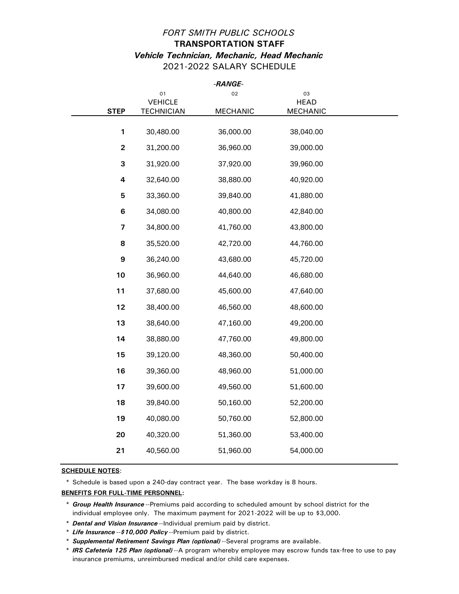## *FORT SMITH PUBLIC SCHOOLS* **TRANSPORTATION STAFF** *Vehicle Technician, Mechanic, Head Mechanic* 2021-2022 SALARY SCHEDULE

|                         |                   | -RANGE-         |                 |  |
|-------------------------|-------------------|-----------------|-----------------|--|
|                         | 01                | 02              | 03              |  |
|                         | <b>VEHICLE</b>    |                 | <b>HEAD</b>     |  |
| <b>STEP</b>             | <b>TECHNICIAN</b> | <b>MECHANIC</b> | <b>MECHANIC</b> |  |
|                         |                   |                 |                 |  |
| 1                       | 30,480.00         | 36,000.00       | 38,040.00       |  |
| $\mathbf{2}$            | 31,200.00         | 36,960.00       | 39,000.00       |  |
| 3                       | 31,920.00         | 37,920.00       | 39,960.00       |  |
| 4                       | 32,640.00         | 38,880.00       | 40,920.00       |  |
| 5                       | 33,360.00         | 39,840.00       | 41,880.00       |  |
| $\bf 6$                 | 34,080.00         | 40,800.00       | 42,840.00       |  |
| $\overline{\mathbf{z}}$ | 34,800.00         | 41,760.00       | 43,800.00       |  |
| 8                       | 35,520.00         | 42,720.00       | 44,760.00       |  |
| 9                       | 36,240.00         | 43,680.00       | 45,720.00       |  |
| 10                      | 36,960.00         | 44,640.00       | 46,680.00       |  |
| 11                      | 37,680.00         | 45,600.00       | 47,640.00       |  |
| 12                      | 38,400.00         | 46,560.00       | 48,600.00       |  |
| 13                      | 38,640.00         | 47,160.00       | 49,200.00       |  |
| 14                      | 38,880.00         | 47,760.00       | 49,800.00       |  |
| 15                      | 39,120.00         | 48,360.00       | 50,400.00       |  |
| 16                      | 39,360.00         | 48,960.00       | 51,000.00       |  |
| 17                      | 39,600.00         | 49,560.00       | 51,600.00       |  |
| 18                      | 39,840.00         | 50,160.00       | 52,200.00       |  |
| 19                      | 40,080.00         | 50,760.00       | 52,800.00       |  |
| 20                      | 40,320.00         | 51,360.00       | 53,400.00       |  |
| 21                      | 40,560.00         | 51,960.00       | 54,000.00       |  |
|                         |                   |                 |                 |  |

**SCHEDULE NOTES**:

\* Schedule is based upon a 240-day contract year. The base workday is 8 hours.

<sup>\*</sup> *Group Health Insurance* --Premiums paid according to scheduled amount by school district for the individual employee only. The maximum payment for 2021-2022 will be up to \$3,000.

<sup>\*</sup> *Dental and Vision Insurance* --Individual premium paid by district.

<sup>\*</sup> *Life Insurance* --*\$10,000 Policy* --Premium paid by district.

<sup>\*</sup> *Supplemental Retirement Savings Plan (optional)* --Several programs are available.

<sup>\*</sup> *IRS Cafeteria 125 Plan (optional)* --A program whereby employee may escrow funds tax-free to use to pay insurance premiums, unreimbursed medical and/or child care expenses.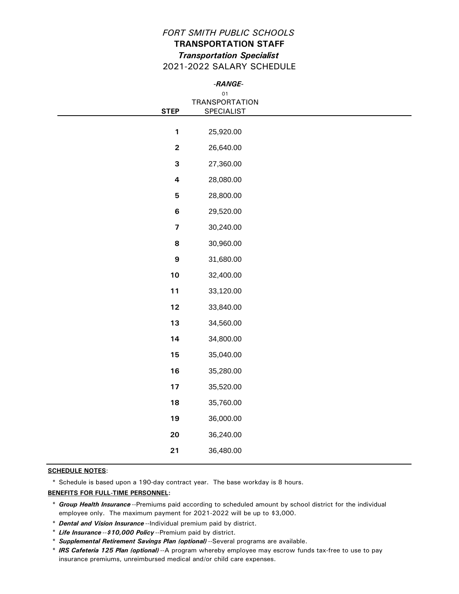## *FORT SMITH PUBLIC SCHOOLS* **TRANSPORTATION STAFF** *Transportation Specialist* 2021-2022 SALARY SCHEDULE

|                         | -RANGE-                                 |  |
|-------------------------|-----------------------------------------|--|
|                         | O <sub>1</sub><br><b>TRANSPORTATION</b> |  |
| <b>STEP</b>             | SPECIALIST                              |  |
| $\mathbf{1}$            | 25,920.00                               |  |
| $\mathbf 2$             | 26,640.00                               |  |
| 3                       | 27,360.00                               |  |
| $\overline{\mathbf{4}}$ | 28,080.00                               |  |
| ${\bf 5}$               | 28,800.00                               |  |
| $\bf 6$                 | 29,520.00                               |  |
| $\boldsymbol{7}$        | 30,240.00                               |  |
| 8                       | 30,960.00                               |  |
| $\boldsymbol{9}$        | 31,680.00                               |  |
| 10                      | 32,400.00                               |  |
| 11                      | 33,120.00                               |  |
| 12                      | 33,840.00                               |  |
| 13                      | 34,560.00                               |  |
| 14                      | 34,800.00                               |  |
| 15                      | 35,040.00                               |  |
| 16                      | 35,280.00                               |  |
| 17                      | 35,520.00                               |  |
| 18                      | 35,760.00                               |  |
| 19                      | 36,000.00                               |  |
| 20                      | 36,240.00                               |  |
| 21                      | 36,480.00                               |  |

#### **SCHEDULE NOTES**:

\* Schedule is based upon a 190-day contract year. The base workday is 8 hours.

- \* *Dental and Vision Insurance* --Individual premium paid by district.
- \* *Life Insurance* --*\$10,000 Policy* --Premium paid by district.
- \* *Supplemental Retirement Savings Plan (optional)* --Several programs are available.

<sup>\*</sup> *Group Health Insurance* --Premiums paid according to scheduled amount by school district for the individual employee only. The maximum payment for 2021-2022 will be up to \$3,000.

<sup>\*</sup> *IRS Cafeteria 125 Plan (optional)* --A program whereby employee may escrow funds tax-free to use to pay insurance premiums, unreimbursed medical and/or child care expenses.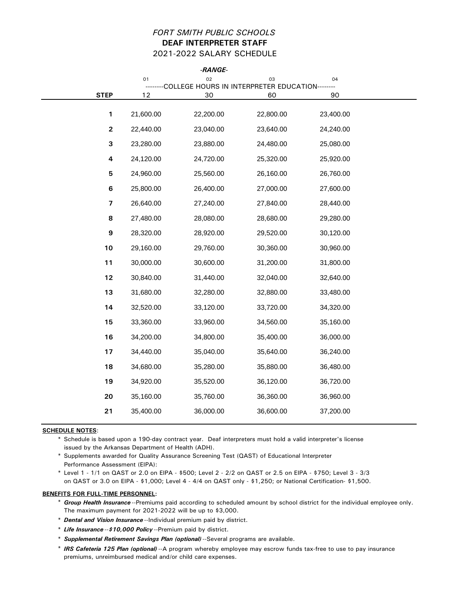## *FORT SMITH PUBLIC SCHOOLS* **DEAF INTERPRETER STAFF** 2021-2022 SALARY SCHEDULE

|                         |           | -RANGE-                                              |           |           |  |
|-------------------------|-----------|------------------------------------------------------|-----------|-----------|--|
|                         | 01        | 02<br>COLLEGE HOURS IN INTERPRETER EDUCATION-------- | 03        | 04        |  |
| <b>STEP</b>             | 12        | 30                                                   | 60        | 90        |  |
| $\mathbf{1}$            | 21,600.00 | 22,200.00                                            | 22,800.00 | 23,400.00 |  |
|                         |           |                                                      |           |           |  |
| $\mathbf{2}$            | 22,440.00 | 23,040.00                                            | 23,640.00 | 24,240.00 |  |
| 3                       | 23,280.00 | 23,880.00                                            | 24,480.00 | 25,080.00 |  |
| 4                       | 24,120.00 | 24,720.00                                            | 25,320.00 | 25,920.00 |  |
| 5                       | 24,960.00 | 25,560.00                                            | 26,160.00 | 26,760.00 |  |
| $\bf 6$                 | 25,800.00 | 26,400.00                                            | 27,000.00 | 27,600.00 |  |
| $\overline{\mathbf{z}}$ | 26,640.00 | 27,240.00                                            | 27,840.00 | 28,440.00 |  |
| 8                       | 27,480.00 | 28,080.00                                            | 28,680.00 | 29,280.00 |  |
| 9                       | 28,320.00 | 28,920.00                                            | 29,520.00 | 30,120.00 |  |
| 10                      | 29,160.00 | 29,760.00                                            | 30,360.00 | 30,960.00 |  |
| 11                      | 30,000.00 | 30,600.00                                            | 31,200.00 | 31,800.00 |  |
| 12                      | 30,840.00 | 31,440.00                                            | 32,040.00 | 32,640.00 |  |
| 13                      | 31,680.00 | 32,280.00                                            | 32,880.00 | 33,480.00 |  |
| 14                      | 32,520.00 | 33,120.00                                            | 33,720.00 | 34,320.00 |  |
| 15                      | 33,360.00 | 33,960.00                                            | 34,560.00 | 35,160.00 |  |
| 16                      | 34,200.00 | 34,800.00                                            | 35,400.00 | 36,000.00 |  |
| 17                      | 34,440.00 | 35,040.00                                            | 35,640.00 | 36,240.00 |  |
| 18                      | 34,680.00 | 35,280.00                                            | 35,880.00 | 36,480.00 |  |
| 19                      | 34,920.00 | 35,520.00                                            | 36,120.00 | 36,720.00 |  |
| 20                      | 35,160.00 | 35,760.00                                            | 36,360.00 | 36,960.00 |  |
| 21                      | 35,400.00 | 36,000.00                                            | 36,600.00 | 37,200.00 |  |
|                         |           |                                                      |           |           |  |

## **SCHEDULE NOTES**:

\* Schedule is based upon a 190-day contract year. Deaf interpreters must hold a valid interpreter's license issued by the Arkansas Department of Health (ADH).

\* Supplements awarded for Quality Assurance Screening Test (QAST) of Educational Interpreter Performance Assessment (EIPA):

\* Level 1 - 1/1 on QAST or 2.0 on EIPA - \$500; Level 2 - 2/2 on QAST or 2.5 on EIPA - \$750; Level 3 - 3/3 on QAST or 3.0 on EIPA - \$1,000; Level 4 - 4/4 on QAST only - \$1,250; or National Certification- \$1,500.

- \* *Group Health Insurance* --Premiums paid according to scheduled amount by school district for the individual employee only. The maximum payment for 2021-2022 will be up to \$3,000.
- \* *Dental and Vision Insurance* --Individual premium paid by district.
- \* *Life Insurance* --*\$10,000 Policy* --Premium paid by district.
- \* *Supplemental Retirement Savings Plan (optional)* --Several programs are available.
- \* *IRS Cafeteria 125 Plan (optional)* --A program whereby employee may escrow funds tax-free to use to pay insurance premiums, unreimbursed medical and/or child care expenses.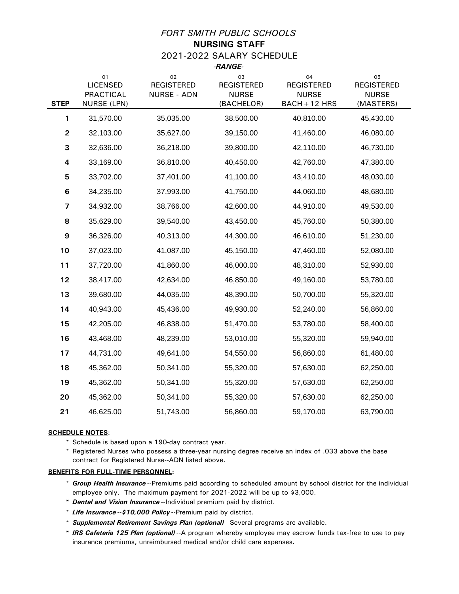## *FORT SMITH PUBLIC SCHOOLS*

**NURSING STAFF** 2021-2022 SALARY SCHEDULE *-RANGE-*

| <b>STEP</b>             | 01<br><b>LICENSED</b><br><b>PRACTICAL</b><br><b>NURSE (LPN)</b> | 02<br><b>REGISTERED</b><br><b>NURSE - ADN</b> | 03<br><b>REGISTERED</b><br><b>NURSE</b><br>(BACHELOR) | 04<br><b>REGISTERED</b><br><b>NURSE</b><br>$BACH + 12 HRS$ | 05<br><b>REGISTERED</b><br><b>NURSE</b><br>(MASTERS) |
|-------------------------|-----------------------------------------------------------------|-----------------------------------------------|-------------------------------------------------------|------------------------------------------------------------|------------------------------------------------------|
| 1                       | 31,570.00                                                       | 35,035.00                                     | 38,500.00                                             | 40,810.00                                                  | 45,430.00                                            |
| $\mathbf{2}$            | 32,103.00                                                       | 35,627.00                                     | 39,150.00                                             | 41,460.00                                                  | 46,080.00                                            |
| 3                       | 32,636.00                                                       | 36,218.00                                     | 39,800.00                                             | 42,110.00                                                  | 46,730.00                                            |
| 4                       | 33,169.00                                                       | 36,810.00                                     | 40,450.00                                             | 42,760.00                                                  | 47,380.00                                            |
| 5                       | 33,702.00                                                       | 37,401.00                                     | 41,100.00                                             | 43,410.00                                                  | 48,030.00                                            |
| 6                       | 34,235.00                                                       | 37,993.00                                     | 41,750.00                                             | 44,060.00                                                  | 48,680.00                                            |
| $\overline{\mathbf{z}}$ | 34,932.00                                                       | 38,766.00                                     | 42,600.00                                             | 44,910.00                                                  | 49,530.00                                            |
| 8                       | 35,629.00                                                       | 39,540.00                                     | 43,450.00                                             | 45,760.00                                                  | 50,380.00                                            |
| 9                       | 36,326.00                                                       | 40,313.00                                     | 44,300.00                                             | 46,610.00                                                  | 51,230.00                                            |
| 10                      | 37,023.00                                                       | 41,087.00                                     | 45,150.00                                             | 47,460.00                                                  | 52,080.00                                            |
| 11                      | 37,720.00                                                       | 41,860.00                                     | 46,000.00                                             | 48,310.00                                                  | 52,930.00                                            |
| 12                      | 38,417.00                                                       | 42,634.00                                     | 46,850.00                                             | 49,160.00                                                  | 53,780.00                                            |
| 13                      | 39,680.00                                                       | 44,035.00                                     | 48,390.00                                             | 50,700.00                                                  | 55,320.00                                            |
| 14                      | 40,943.00                                                       | 45,436.00                                     | 49,930.00                                             | 52,240.00                                                  | 56,860.00                                            |
| 15                      | 42,205.00                                                       | 46,838.00                                     | 51,470.00                                             | 53,780.00                                                  | 58,400.00                                            |
| 16                      | 43,468.00                                                       | 48,239.00                                     | 53,010.00                                             | 55,320.00                                                  | 59,940.00                                            |
| 17                      | 44,731.00                                                       | 49,641.00                                     | 54,550.00                                             | 56,860.00                                                  | 61,480.00                                            |
| 18                      | 45,362.00                                                       | 50,341.00                                     | 55,320.00                                             | 57,630.00                                                  | 62,250.00                                            |
| 19                      | 45,362.00                                                       | 50,341.00                                     | 55,320.00                                             | 57,630.00                                                  | 62,250.00                                            |
| 20                      | 45,362.00                                                       | 50,341.00                                     | 55,320.00                                             | 57,630.00                                                  | 62,250.00                                            |
| 21                      | 46,625.00                                                       | 51,743.00                                     | 56,860.00                                             | 59,170.00                                                  | 63,790.00                                            |

### **SCHEDULE NOTES**:

\* Schedule is based upon a 190-day contract year.

\* Registered Nurses who possess a three-year nursing degree receive an index of .033 above the base contract for Registered Nurse--ADN listed above.

- \* *Group Health Insurance* --Premiums paid according to scheduled amount by school district for the individual employee only. The maximum payment for 2021-2022 will be up to \$3,000.
- \* *Dental and Vision Insurance* --Individual premium paid by district.
- \* *Life Insurance* --*\$10,000 Policy* --Premium paid by district.
- \* *Supplemental Retirement Savings Plan (optional)* --Several programs are available.
- \* *IRS Cafeteria 125 Plan (optional)* --A program whereby employee may escrow funds tax-free to use to pay insurance premiums, unreimbursed medical and/or child care expenses.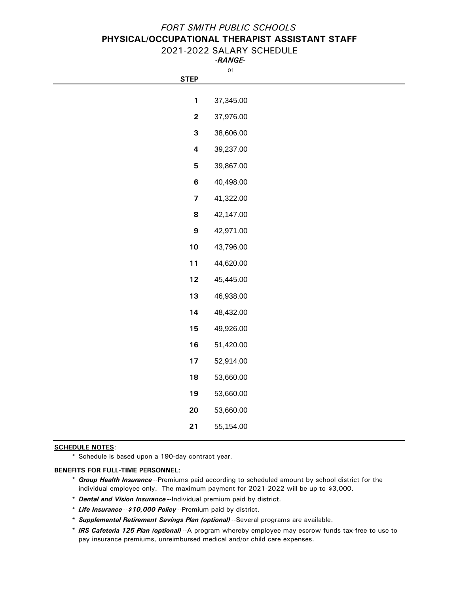## *FORT SMITH PUBLIC SCHOOLS* **PHYSICAL/OCCUPATIONAL THERAPIST ASSISTANT STAFF**

## 2021-2022 SALARY SCHEDULE *-RANGE-*

01

| <b>STEP</b>  |           |
|--------------|-----------|
|              |           |
| 1            | 37,345.00 |
| $\mathbf{2}$ | 37,976.00 |
| 3            | 38,606.00 |
| 4            | 39,237.00 |
| 5            | 39,867.00 |
| 6            | 40,498.00 |
| 7            | 41,322.00 |
| 8            | 42,147.00 |
| 9            | 42,971.00 |
| 10           | 43,796.00 |
| 11           | 44,620.00 |
|              |           |

| 12 | 45.445.00 |
|----|-----------|
| 13 | 46,938.00 |
| 14 | 48,432.00 |
| 15 | 49,926.00 |
| 16 | 51,420.00 |
| 17 | 52,914.00 |
| 18 | 53,660.00 |
| 19 | 53.660.00 |
| 20 | 53,660.00 |
| 21 | 55.154.00 |

## **SCHEDULE NOTES**:

\* Schedule is based upon a 190-day contract year.

- \* *Group Health Insurance* --Premiums paid according to scheduled amount by school district for the individual employee only. The maximum payment for 2021-2022 will be up to \$3,000.
- \* *Dental and Vision Insurance* --Individual premium paid by district.
- \* *Life Insurance* --*\$10,000 Policy* --Premium paid by district.
- \* *Supplemental Retirement Savings Plan (optional)* --Several programs are available.
- \* *IRS Cafeteria 125 Plan (optional)* --A program whereby employee may escrow funds tax-free to use to pay insurance premiums, unreimbursed medical and/or child care expenses.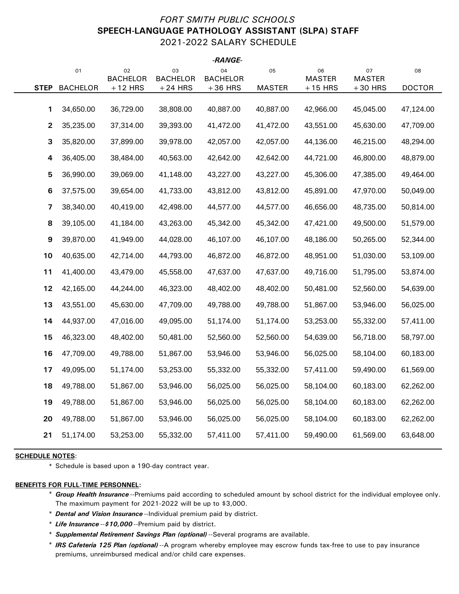## *FORT SMITH PUBLIC SCHOOLS* **SPEECH-LANGUAGE PATHOLOGY ASSISTANT (SLPA) STAFF** 2021-2022 SALARY SCHEDULE

|              |                 |                       |                       | -RANGE-               |               |                     |                     |               |
|--------------|-----------------|-----------------------|-----------------------|-----------------------|---------------|---------------------|---------------------|---------------|
|              | 01              | 02<br><b>BACHELOR</b> | 03<br><b>BACHELOR</b> | 04<br><b>BACHELOR</b> | 05            | 06<br><b>MASTER</b> | 07<br><b>MASTER</b> | 08            |
| <b>STEP</b>  | <b>BACHELOR</b> | $+12$ HRS             | $+24$ HRS             | $+36$ HRS             | <b>MASTER</b> | $+15$ HRS           | $+30$ HRS           | <b>DOCTOR</b> |
|              |                 |                       |                       |                       |               |                     |                     |               |
| 1            | 34,650.00       | 36,729.00             | 38,808.00             | 40,887.00             | 40,887.00     | 42,966.00           | 45,045.00           | 47,124.00     |
| $\mathbf{2}$ | 35,235.00       | 37,314.00             | 39,393.00             | 41,472.00             | 41,472.00     | 43,551.00           | 45,630.00           | 47,709.00     |
| 3            | 35,820.00       | 37,899.00             | 39,978.00             | 42,057.00             | 42,057.00     | 44,136.00           | 46,215.00           | 48,294.00     |
| 4            | 36,405.00       | 38,484.00             | 40,563.00             | 42,642.00             | 42,642.00     | 44,721.00           | 46,800.00           | 48,879.00     |
| 5            | 36,990.00       | 39,069.00             | 41,148.00             | 43,227.00             | 43,227.00     | 45,306.00           | 47,385.00           | 49,464.00     |
| 6            | 37,575.00       | 39,654.00             | 41,733.00             | 43,812.00             | 43,812.00     | 45,891.00           | 47,970.00           | 50,049.00     |
| 7            | 38,340.00       | 40,419.00             | 42,498.00             | 44,577.00             | 44,577.00     | 46,656.00           | 48,735.00           | 50,814.00     |
| 8            | 39,105.00       | 41,184.00             | 43,263.00             | 45,342.00             | 45,342.00     | 47,421.00           | 49,500.00           | 51,579.00     |
| 9            | 39,870.00       | 41,949.00             | 44,028.00             | 46,107.00             | 46,107.00     | 48,186.00           | 50,265.00           | 52,344.00     |
| 10           | 40,635.00       | 42,714.00             | 44,793.00             | 46,872.00             | 46,872.00     | 48,951.00           | 51,030.00           | 53,109.00     |
| 11           | 41,400.00       | 43,479.00             | 45,558.00             | 47,637.00             | 47,637.00     | 49,716.00           | 51,795.00           | 53,874.00     |
| 12           | 42,165.00       | 44,244.00             | 46,323.00             | 48,402.00             | 48,402.00     | 50,481.00           | 52,560.00           | 54,639.00     |
| 13           | 43,551.00       | 45,630.00             | 47,709.00             | 49,788.00             | 49,788.00     | 51,867.00           | 53,946.00           | 56,025.00     |
| 14           | 44,937.00       | 47,016.00             | 49,095.00             | 51,174.00             | 51,174.00     | 53,253.00           | 55,332.00           | 57,411.00     |
| 15           | 46,323.00       | 48,402.00             | 50,481.00             | 52,560.00             | 52,560.00     | 54,639.00           | 56,718.00           | 58,797.00     |
| 16           | 47,709.00       | 49,788.00             | 51,867.00             | 53,946.00             | 53,946.00     | 56,025.00           | 58,104.00           | 60,183.00     |
| 17           | 49,095.00       | 51,174.00             | 53,253.00             | 55,332.00             | 55,332.00     | 57,411.00           | 59,490.00           | 61,569.00     |
| 18           | 49,788.00       | 51,867.00             | 53,946.00             | 56,025.00             | 56,025.00     | 58,104.00           | 60,183.00           | 62,262.00     |
| 19           | 49,788.00       | 51,867.00             | 53,946.00             | 56,025.00             | 56,025.00     | 58,104.00           | 60,183.00           | 62,262.00     |
| 20           | 49,788.00       | 51,867.00             | 53,946.00             | 56,025.00             | 56,025.00     | 58,104.00           | 60,183.00           | 62,262.00     |
| 21           | 51,174.00       | 53,253.00             | 55,332.00             | 57,411.00             | 57,411.00     | 59,490.00           | 61,569.00           | 63,648.00     |
|              |                 |                       |                       |                       |               |                     |                     |               |

## **SCHEDULE NOTES**:

\* Schedule is based upon a 190-day contract year.

- \* *Group Health Insurance* --Premiums paid according to scheduled amount by school district for the individual employee only. The maximum payment for 2021-2022 will be up to \$3,000.
- \* *Dental and Vision Insurance* --Individual premium paid by district.
- \* *Life Insurance* --*\$10,000* --Premium paid by district.
- \* *Supplemental Retirement Savings Plan (optional)* --Several programs are available.
- \* *IRS Cafeteria 125 Plan (optional)* --A program whereby employee may escrow funds tax-free to use to pay insurance premiums, unreimbursed medical and/or child care expenses.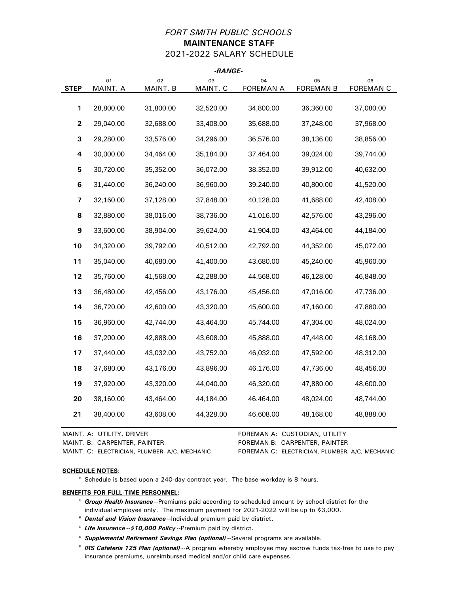## *FORT SMITH PUBLIC SCHOOLS* **MAINTENANCE STAFF** 2021-2022 SALARY SCHEDULE

*-RANGE-*

|                  |                |                | -KAIVUE-       |                        |                        |                        |
|------------------|----------------|----------------|----------------|------------------------|------------------------|------------------------|
| <b>STEP</b>      | 01<br>MAINT. A | 02<br>MAINT. B | 03<br>MAINT. C | 04<br><b>FOREMAN A</b> | 05<br><b>FOREMAN B</b> | 06<br><b>FOREMAN C</b> |
|                  |                |                |                |                        |                        |                        |
| 1                | 28,800.00      | 31,800.00      | 32,520.00      | 34,800.00              | 36,360.00              | 37,080.00              |
| $\mathbf 2$      | 29,040.00      | 32,688.00      | 33,408.00      | 35,688.00              | 37,248.00              | 37,968.00              |
| 3                | 29,280.00      | 33,576.00      | 34,296.00      | 36,576.00              | 38,136.00              | 38,856.00              |
| 4                | 30,000.00      | 34,464.00      | 35,184.00      | 37,464.00              | 39,024.00              | 39,744.00              |
| 5                | 30,720.00      | 35,352.00      | 36,072.00      | 38,352.00              | 39,912.00              | 40,632.00              |
| 6                | 31,440.00      | 36,240.00      | 36,960.00      | 39,240.00              | 40,800.00              | 41,520.00              |
| 7                | 32,160.00      | 37,128.00      | 37,848.00      | 40,128.00              | 41,688.00              | 42,408.00              |
| 8                | 32,880.00      | 38,016.00      | 38,736.00      | 41,016.00              | 42,576.00              | 43,296.00              |
| $\boldsymbol{9}$ | 33,600.00      | 38,904.00      | 39,624.00      | 41,904.00              | 43,464.00              | 44,184.00              |
| 10               | 34,320.00      | 39,792.00      | 40,512.00      | 42,792.00              | 44,352.00              | 45,072.00              |
| 11               | 35,040.00      | 40,680.00      | 41,400.00      | 43,680.00              | 45,240.00              | 45,960.00              |
| 12               | 35,760.00      | 41,568.00      | 42,288.00      | 44,568.00              | 46,128.00              | 46,848.00              |
| 13               | 36,480.00      | 42,456.00      | 43,176.00      | 45,456.00              | 47,016.00              | 47,736.00              |
| 14               | 36,720.00      | 42,600.00      | 43,320.00      | 45,600.00              | 47,160.00              | 47,880.00              |
| 15               | 36,960.00      | 42,744.00      | 43,464.00      | 45,744.00              | 47,304.00              | 48,024.00              |
| 16               | 37,200.00      | 42,888.00      | 43,608.00      | 45,888.00              | 47,448.00              | 48,168.00              |
| 17               | 37,440.00      | 43,032.00      | 43,752.00      | 46,032.00              | 47,592.00              | 48,312.00              |
| 18               | 37,680.00      | 43,176.00      | 43,896.00      | 46,176.00              | 47,736.00              | 48,456.00              |
| 19               | 37,920.00      | 43,320.00      | 44,040.00      | 46,320.00              | 47,880.00              | 48,600.00              |
| 20               | 38,160.00      | 43,464.00      | 44,184.00      | 46,464.00              | 48,024.00              | 48,744.00              |
| 21               | 38,400.00      | 43,608.00      | 44,328.00      | 46,608.00              | 48,168.00              | 48,888.00              |
|                  |                |                |                |                        |                        |                        |

MAINT. A: UTILITY, DRIVER FOREMAN A: CUSTODIAN, UTILITY MAINT. B: CARPENTER, PAINTER FOREMAN B: CARPENTER, PAINTER

MAINT. C: ELECTRICIAN, PLUMBER, A/C, MECHANIC FOREMAN C: ELECTRICIAN, PLUMBER, A/C, MECHANIC

#### **SCHEDULE NOTES**:

\* Schedule is based upon a 240-day contract year. The base workday is 8 hours.

- \* *Group Health Insurance* --Premiums paid according to scheduled amount by school district for the individual employee only. The maximum payment for 2021-2022 will be up to \$3,000.
- \* *Dental and Vision Insurance* --Individual premium paid by district.
- \* *Life Insurance* --*\$10,000 Policy* --Premium paid by district.
- \* *Supplemental Retirement Savings Plan (optional)* --Several programs are available.
- \* *IRS Cafeteria 125 Plan (optional)* --A program whereby employee may escrow funds tax-free to use to pay insurance premiums, unreimbursed medical and/or child care expenses.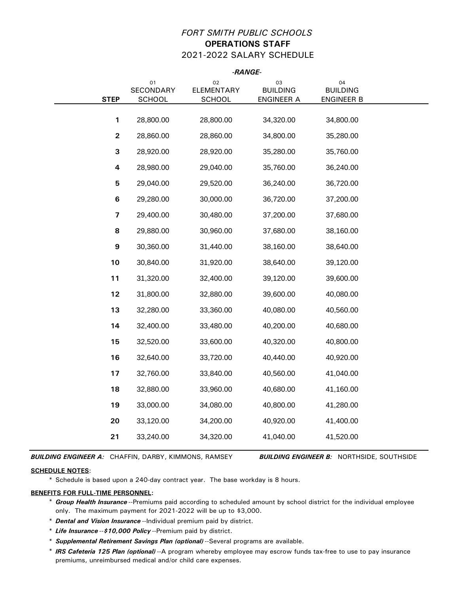## *FORT SMITH PUBLIC SCHOOLS* **OPERATIONS STAFF** 2021-2022 SALARY SCHEDULE

|                         | -RANGE-                                             |                                          |                                     |                                            |  |  |  |
|-------------------------|-----------------------------------------------------|------------------------------------------|-------------------------------------|--------------------------------------------|--|--|--|
| <b>STEP</b>             | O <sub>1</sub><br><b>SECONDARY</b><br><b>SCHOOL</b> | 02<br><b>ELEMENTARY</b><br><b>SCHOOL</b> | 03<br><b>BUILDING</b><br>ENGINEER A | 04<br><b>BUILDING</b><br><b>ENGINEER B</b> |  |  |  |
|                         |                                                     |                                          |                                     |                                            |  |  |  |
| 1                       | 28,800.00                                           | 28,800.00                                | 34,320.00                           | 34,800.00                                  |  |  |  |
| $\mathbf{2}$            | 28,860.00                                           | 28,860.00                                | 34,800.00                           | 35,280.00                                  |  |  |  |
| 3                       | 28,920.00                                           | 28,920.00                                | 35,280.00                           | 35,760.00                                  |  |  |  |
| 4                       | 28,980.00                                           | 29,040.00                                | 35,760.00                           | 36,240.00                                  |  |  |  |
| 5                       | 29,040.00                                           | 29,520.00                                | 36,240.00                           | 36,720.00                                  |  |  |  |
| $\bf 6$                 | 29,280.00                                           | 30,000.00                                | 36,720.00                           | 37,200.00                                  |  |  |  |
| $\overline{\mathbf{z}}$ | 29,400.00                                           | 30,480.00                                | 37,200.00                           | 37,680.00                                  |  |  |  |
| 8                       | 29,880.00                                           | 30,960.00                                | 37,680.00                           | 38,160.00                                  |  |  |  |
| $\boldsymbol{9}$        | 30,360.00                                           | 31,440.00                                | 38,160.00                           | 38,640.00                                  |  |  |  |
| 10                      | 30,840.00                                           | 31,920.00                                | 38,640.00                           | 39,120.00                                  |  |  |  |
| 11                      | 31,320.00                                           | 32,400.00                                | 39,120.00                           | 39,600.00                                  |  |  |  |
| 12                      | 31,800.00                                           | 32,880.00                                | 39,600.00                           | 40,080.00                                  |  |  |  |
| 13                      | 32,280.00                                           | 33,360.00                                | 40,080.00                           | 40,560.00                                  |  |  |  |
| 14                      | 32,400.00                                           | 33,480.00                                | 40,200.00                           | 40,680.00                                  |  |  |  |
| 15                      | 32,520.00                                           | 33,600.00                                | 40,320.00                           | 40,800.00                                  |  |  |  |
| 16                      | 32,640.00                                           | 33,720.00                                | 40,440.00                           | 40,920.00                                  |  |  |  |
| 17                      | 32,760.00                                           | 33,840.00                                | 40,560.00                           | 41,040.00                                  |  |  |  |
| 18                      | 32,880.00                                           | 33,960.00                                | 40,680.00                           | 41,160.00                                  |  |  |  |
| 19                      | 33,000.00                                           | 34,080.00                                | 40,800.00                           | 41,280.00                                  |  |  |  |
| 20                      | 33,120.00                                           | 34,200.00                                | 40,920.00                           | 41,400.00                                  |  |  |  |
| 21                      | 33,240.00                                           | 34,320.00                                | 41,040.00                           | 41,520.00                                  |  |  |  |
|                         |                                                     |                                          |                                     |                                            |  |  |  |

*BUILDING ENGINEER A:* CHAFFIN, DARBY, KIMMONS, RAMSEY

*BUILDING ENGINEER B:* NORTHSIDE, SOUTHSIDE

## **SCHEDULE NOTES**:

\* Schedule is based upon a 240-day contract year. The base workday is 8 hours.

- \* *Group Health Insurance* --Premiums paid according to scheduled amount by school district for the individual employee only. The maximum payment for 2021-2022 will be up to \$3,000.
- \* *Dental and Vision Insurance* --Individual premium paid by district.
- \* *Life Insurance* --*\$10,000 Policy* --Premium paid by district.
- \* *Supplemental Retirement Savings Plan (optional)* --Several programs are available.
- \* *IRS Cafeteria 125 Plan (optional)* --A program whereby employee may escrow funds tax-free to use to pay insurance premiums, unreimbursed medical and/or child care expenses.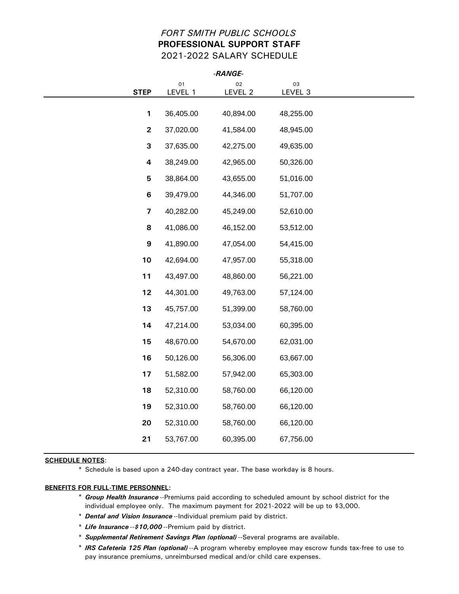## *FORT SMITH PUBLIC SCHOOLS* **PROFESSIONAL SUPPORT STAFF** 2021-2022 SALARY SCHEDULE

| -RANGE-                 |               |               |               |  |  |  |  |  |  |  |
|-------------------------|---------------|---------------|---------------|--|--|--|--|--|--|--|
| <b>STEP</b>             | 01<br>LEVEL 1 | 02<br>LEVEL 2 | 03<br>LEVEL 3 |  |  |  |  |  |  |  |
|                         |               |               |               |  |  |  |  |  |  |  |
| $\mathbf{1}$            | 36,405.00     | 40,894.00     | 48,255.00     |  |  |  |  |  |  |  |
| $\overline{2}$          | 37,020.00     | 41,584.00     | 48,945.00     |  |  |  |  |  |  |  |
| 3                       | 37,635.00     | 42,275.00     | 49,635.00     |  |  |  |  |  |  |  |
| $\overline{\mathbf{4}}$ | 38,249.00     | 42,965.00     | 50,326.00     |  |  |  |  |  |  |  |
| 5                       | 38,864.00     | 43,655.00     | 51,016.00     |  |  |  |  |  |  |  |
| $6\phantom{a}$          | 39,479.00     | 44,346.00     | 51,707.00     |  |  |  |  |  |  |  |
| $\overline{\mathbf{z}}$ | 40,282.00     | 45,249.00     | 52,610.00     |  |  |  |  |  |  |  |
| 8                       | 41,086.00     | 46,152.00     | 53,512.00     |  |  |  |  |  |  |  |
| $\boldsymbol{9}$        | 41,890.00     | 47,054.00     | 54,415.00     |  |  |  |  |  |  |  |
| 10                      | 42,694.00     | 47,957.00     | 55,318.00     |  |  |  |  |  |  |  |
| 11                      | 43,497.00     | 48,860.00     | 56,221.00     |  |  |  |  |  |  |  |
| 12                      | 44,301.00     | 49,763.00     | 57,124.00     |  |  |  |  |  |  |  |
| 13                      | 45,757.00     | 51,399.00     | 58,760.00     |  |  |  |  |  |  |  |
| 14                      | 47,214.00     | 53,034.00     | 60,395.00     |  |  |  |  |  |  |  |
| 15                      | 48,670.00     | 54,670.00     | 62,031.00     |  |  |  |  |  |  |  |
| 16                      | 50,126.00     | 56,306.00     | 63,667.00     |  |  |  |  |  |  |  |
| 17                      | 51,582.00     | 57,942.00     | 65,303.00     |  |  |  |  |  |  |  |
| 18                      | 52,310.00     | 58,760.00     | 66,120.00     |  |  |  |  |  |  |  |
| 19                      | 52,310.00     | 58,760.00     | 66,120.00     |  |  |  |  |  |  |  |
| 20                      | 52,310.00     | 58,760.00     | 66,120.00     |  |  |  |  |  |  |  |
| 21                      | 53,767.00     | 60,395.00     | 67,756.00     |  |  |  |  |  |  |  |
|                         |               |               |               |  |  |  |  |  |  |  |

#### **SCHEDULE NOTES**:

\* Schedule is based upon a 240-day contract year. The base workday is 8 hours.

- \* *Group Health Insurance* --Premiums paid according to scheduled amount by school district for the individual employee only. The maximum payment for 2021-2022 will be up to \$3,000.
- \* *Dental and Vision Insurance* --Individual premium paid by district.
- \* *Life Insurance* --*\$10,000* --Premium paid by district.
- \* *Supplemental Retirement Savings Plan (optional)* --Several programs are available.
- \* *IRS Cafeteria 125 Plan (optional)* --A program whereby employee may escrow funds tax-free to use to pay insurance premiums, unreimbursed medical and/or child care expenses.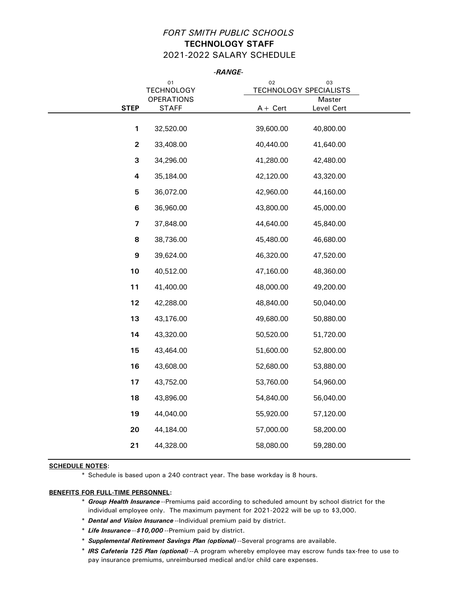## *FORT SMITH PUBLIC SCHOOLS* **TECHNOLOGY STAFF** 2021-2022 SALARY SCHEDULE

*-RANGE-*

|                         | 01<br><b>TECHNOLOGY</b> | 02<br>03<br><b>TECHNOLOGY SPECIALISTS</b> |
|-------------------------|-------------------------|-------------------------------------------|
|                         | <b>OPERATIONS</b>       | Master                                    |
| <b>STEP</b>             | <b>STAFF</b>            | Level Cert<br>$A +$ Cert                  |
| 1                       | 32,520.00               | 39,600.00<br>40,800.00                    |
| $\mathbf{2}$            | 33,408.00               | 40,440.00<br>41,640.00                    |
| 3                       | 34,296.00               | 41,280.00<br>42,480.00                    |
| 4                       | 35,184.00               | 42,120.00<br>43,320.00                    |
| 5                       | 36,072.00               | 42,960.00<br>44,160.00                    |
| $\bf 6$                 | 36,960.00               | 43,800.00<br>45,000.00                    |
| $\overline{\mathbf{z}}$ | 37,848.00               | 44,640.00<br>45,840.00                    |
| 8                       | 38,736.00               | 45,480.00<br>46,680.00                    |
| 9                       | 39,624.00               | 46,320.00<br>47,520.00                    |
| 10                      | 40,512.00               | 47,160.00<br>48,360.00                    |
| 11                      | 41,400.00               | 48,000.00<br>49,200.00                    |
| 12                      | 42,288.00               | 48,840.00<br>50,040.00                    |
| 13                      | 43,176.00               | 49,680.00<br>50,880.00                    |
| 14                      | 43,320.00               | 50,520.00<br>51,720.00                    |
| 15                      | 43,464.00               | 51,600.00<br>52,800.00                    |
| 16                      | 43,608.00               | 52,680.00<br>53,880.00                    |
| 17                      | 43,752.00               | 53,760.00<br>54,960.00                    |
| 18                      | 43,896.00               | 54,840.00<br>56,040.00                    |
| 19                      | 44,040.00               | 55,920.00<br>57,120.00                    |
| 20                      | 44,184.00               | 57,000.00<br>58,200.00                    |
| 21                      | 44,328.00               | 58,080.00<br>59,280.00                    |
|                         |                         |                                           |

## **SCHEDULE NOTES**:

\* Schedule is based upon a 240 contract year. The base workday is 8 hours.

- \* *Group Health Insurance* --Premiums paid according to scheduled amount by school district for the individual employee only. The maximum payment for 2021-2022 will be up to \$3,000.
- \* *Dental and Vision Insurance* --Individual premium paid by district.
- \* *Life Insurance* --*\$10,000* --Premium paid by district.
- \* *Supplemental Retirement Savings Plan (optional)* --Several programs are available.
- \* *IRS Cafeteria 125 Plan (optional)* --A program whereby employee may escrow funds tax-free to use to pay insurance premiums, unreimbursed medical and/or child care expenses.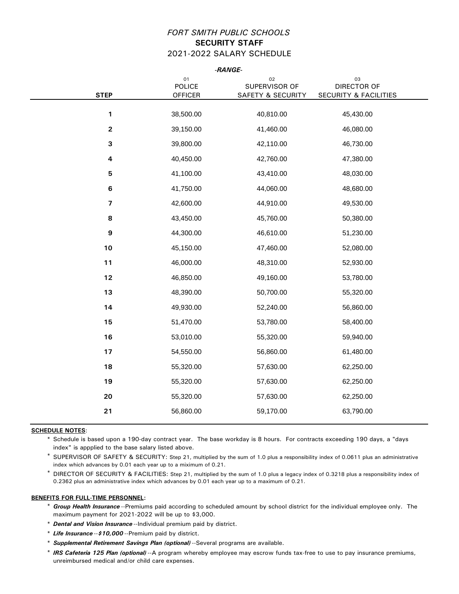## *FORT SMITH PUBLIC SCHOOLS* **SECURITY STAFF** 2021-2022 SALARY SCHEDULE

| <b>STEP</b>    | $_{01}$<br><b>POLICE</b><br><b>OFFICER</b> | 02<br>SUPERVISOR OF<br><b>SAFETY &amp; SECURITY</b> | 03<br>DIRECTOR OF<br><b>SECURITY &amp; FACILITIES</b> |
|----------------|--------------------------------------------|-----------------------------------------------------|-------------------------------------------------------|
| 1              | 38,500.00                                  | 40,810.00                                           | 45,430.00                                             |
| $\mathbf 2$    | 39,150.00                                  | 41,460.00                                           | 46,080.00                                             |
| $\mathbf{3}$   | 39,800.00                                  | 42,110.00                                           | 46,730.00                                             |
| 4              | 40,450.00                                  | 42,760.00                                           | 47,380.00                                             |
| $\overline{5}$ | 41,100.00                                  | 43,410.00                                           | 48,030.00                                             |
| $\bf 6$        | 41,750.00                                  | 44,060.00                                           | 48,680.00                                             |
| $\overline{7}$ | 42,600.00                                  | 44,910.00                                           | 49,530.00                                             |
| 8              | 43,450.00                                  | 45,760.00                                           | 50,380.00                                             |
| 9              | 44,300.00                                  | 46,610.00                                           | 51,230.00                                             |
| 10             | 45,150.00                                  | 47,460.00                                           | 52,080.00                                             |
| 11             | 46,000.00                                  | 48,310.00                                           | 52,930.00                                             |
| 12             | 46,850.00                                  | 49,160.00                                           | 53,780.00                                             |
| 13             | 48,390.00                                  | 50,700.00                                           | 55,320.00                                             |
| 14             | 49,930.00                                  | 52,240.00                                           | 56,860.00                                             |
| 15             | 51,470.00                                  | 53,780.00                                           | 58,400.00                                             |
| 16             | 53,010.00                                  | 55,320.00                                           | 59,940.00                                             |
| 17             | 54,550.00                                  | 56,860.00                                           | 61,480.00                                             |
| 18             | 55,320.00                                  | 57,630.00                                           | 62,250.00                                             |
| 19             | 55,320.00                                  | 57,630.00                                           | 62,250.00                                             |
| 20             | 55,320.00                                  | 57,630.00                                           | 62,250.00                                             |
| 21             | 56,860.00                                  | 59,170.00                                           | 63,790.00                                             |

### **SCHEDULE NOTES**:

\* Schedule is based upon a 190-day contract year. The base workday is 8 hours. For contracts exceeding 190 days, a "days index" is appplied to the base salary listed above.

- \* SUPERVISOR OF SAFETY & SECURITY: Step 21, multiplied by the sum of 1.0 plus a responsibility index of 0.0611 plus an administrative index which advances by 0.01 each year up to a miximum of 0.21.
- \* DIRECTOR OF SECURITY & FACILITIES: Step 21, multiplied by the sum of 1.0 plus a legacy index of 0.3218 plus a responsibility index of 0.2362 plus an administrative index which advances by 0.01 each year up to a maximum of 0.21.

- \* *Group Health Insurance* --Premiums paid according to scheduled amount by school district for the individual employee only. The maximum payment for 2021-2022 will be up to \$3,000.
- \* *Dental and Vision Insurance* --Individual premium paid by district.
- \* *Life Insurance* --*\$10,000* --Premium paid by district.
- \* *Supplemental Retirement Savings Plan (optional)* --Several programs are available.
- \* *IRS Cafeteria 125 Plan (optional)* --A program whereby employee may escrow funds tax-free to use to pay insurance premiums, unreimbursed medical and/or child care expenses.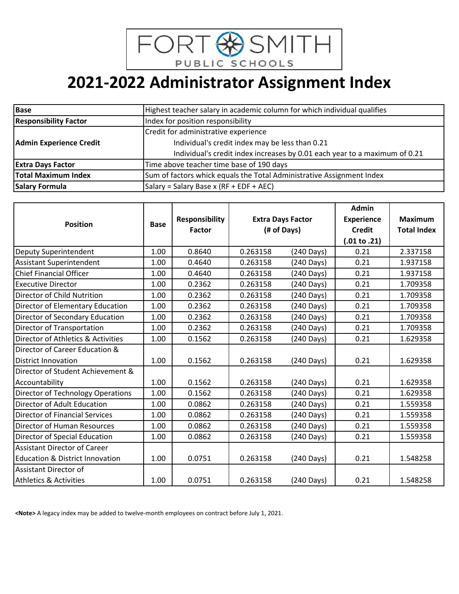

| <b>Base</b>                                                       | Highest teacher salary in academic column for which individual qualifies   |  |  |  |  |
|-------------------------------------------------------------------|----------------------------------------------------------------------------|--|--|--|--|
| <b>Responsibility Factor</b><br>Index for position responsibility |                                                                            |  |  |  |  |
|                                                                   | Credit for administrative experience                                       |  |  |  |  |
| <b>Admin Experience Credit</b>                                    | Individual's credit index may be less than 0.21                            |  |  |  |  |
|                                                                   | Individual's credit index increases by 0.01 each year to a maximum of 0.21 |  |  |  |  |
| <b>Extra Days Factor</b>                                          | Time above teacher time base of 190 days                                   |  |  |  |  |
| Total Maximum Index                                               | Sum of factors whick equals the Total Administrative Assignment Index      |  |  |  |  |
| <b>Salary Formula</b>                                             | Salary = Salary Base x (RF + EDF + AEC)                                    |  |  |  |  |

| <b>Position</b>                            | <b>Base</b> | <b>Responsibility</b> |          | <b>Extra Days Factor</b> | <b>Experience</b>       | <b>Maximum</b>     |
|--------------------------------------------|-------------|-----------------------|----------|--------------------------|-------------------------|--------------------|
|                                            |             | <b>Factor</b>         |          | (# of Days)              |                         | <b>Total Index</b> |
|                                            |             |                       |          |                          | $(.01 \text{ to } .21)$ |                    |
| Deputy Superintendent                      | 1.00        | 0.8640                | 0.263158 | (240 Days)               | 0.21                    | 2.337158           |
| Assistant Superintendent                   | 1.00        | 0.4640                | 0.263158 | $(240 \text{ Days})$     | 0.21                    | 1.937158           |
| <b>Chief Financial Officer</b>             | 1.00        | 0.4640                | 0.263158 | (240 Days)               | 0.21                    | 1.937158           |
| <b>Executive Director</b>                  | 1.00        | 0.2362                | 0.263158 | (240 Days)               | 0.21                    | 1.709358           |
| Director of Child Nutrition                | 1.00        | 0.2362                | 0.263158 | (240 Days)               | 0.21                    | 1.709358           |
| Director of Elementary Education           | 1.00        | 0.2362                | 0.263158 | (240 Days)               | 0.21                    | 1.709358           |
| Director of Secondary Education            | 1.00        | 0.2362                | 0.263158 | (240 Days)               | 0.21                    | 1.709358           |
| Director of Transportation                 | 1.00        | 0.2362                | 0.263158 | (240 Days)               | 0.21                    | 1.709358           |
| Director of Athletics & Activities         | 1.00        | 0.1562                | 0.263158 | (240 Days)               | 0.21                    | 1.629358           |
| Director of Career Education &             |             |                       |          |                          |                         |                    |
| <b>District Innovation</b>                 | 1.00        | 0.1562                | 0.263158 | $(240 \text{ Days})$     | 0.21                    | 1.629358           |
| Director of Student Achievement &          |             |                       |          |                          |                         |                    |
| Accountability                             | 1.00        | 0.1562                | 0.263158 | (240 Days)               | 0.21                    | 1.629358           |
| Director of Technology Operations          | 1.00        | 0.1562                | 0.263158 | (240 Days)               | 0.21                    | 1.629358           |
| Director of Adult Education                | 1.00        | 0.0862                | 0.263158 | (240 Days)               | 0.21                    | 1.559358           |
| Director of Financial Services             | 1.00        | 0.0862                | 0.263158 | (240 Days)               | 0.21                    | 1.559358           |
| Director of Human Resources                | 1.00        | 0.0862                | 0.263158 | (240 Days)               | 0.21                    | 1.559358           |
| Director of Special Education              | 1.00        | 0.0862                | 0.263158 | (240 Days)               | 0.21                    | 1.559358           |
| <b>Assistant Director of Career</b>        |             |                       |          |                          |                         |                    |
| <b>Education &amp; District Innovation</b> | 1.00        | 0.0751                | 0.263158 | (240 Days)               | 0.21                    | 1.548258           |
| Assistant Director of                      |             |                       |          |                          |                         |                    |
| <b>Athletics &amp; Activities</b>          | 1.00        | 0.0751                | 0.263158 | (240 Days)               | 0.21                    | 1.548258           |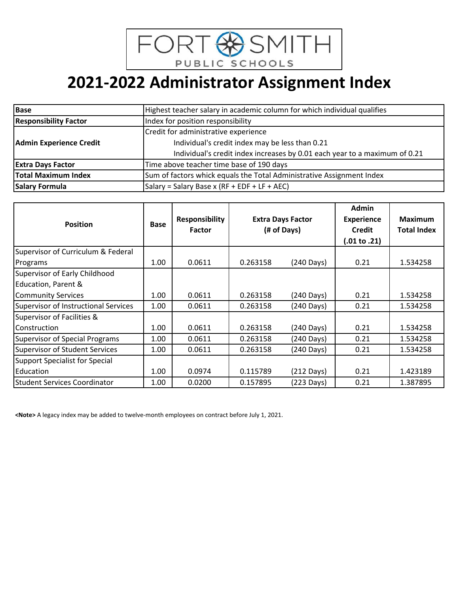

| <b>Base</b>                                                       | Highest teacher salary in academic column for which individual qualifies   |  |  |  |  |
|-------------------------------------------------------------------|----------------------------------------------------------------------------|--|--|--|--|
| <b>Responsibility Factor</b><br>Index for position responsibility |                                                                            |  |  |  |  |
|                                                                   | Credit for administrative experience                                       |  |  |  |  |
| <b>Admin Experience Credit</b>                                    | Individual's credit index may be less than 0.21                            |  |  |  |  |
|                                                                   | Individual's credit index increases by 0.01 each year to a maximum of 0.21 |  |  |  |  |
| <b>Extra Days Factor</b>                                          | Time above teacher time base of 190 days                                   |  |  |  |  |
| <b>Total Maximum Index</b>                                        | Sum of factors whick equals the Total Administrative Assignment Index      |  |  |  |  |
| <b>Salary Formula</b>                                             | Salary = Salary Base x (RF + EDF + LF + AEC)                               |  |  |  |  |

| <b>Position</b>                             | <b>Base</b>       | <b>Responsibility</b><br><b>Factor</b> | <b>Extra Days Factor</b><br>(# of Days) |                      | <b>Admin</b><br><b>Experience</b><br><b>Credit</b> | <b>Maximum</b><br><b>Total Index</b> |
|---------------------------------------------|-------------------|----------------------------------------|-----------------------------------------|----------------------|----------------------------------------------------|--------------------------------------|
| Supervisor of Curriculum & Federal          |                   |                                        |                                         |                      | $(.01 \text{ to } .21)$                            |                                      |
| Programs                                    | 1.00              | 0.0611                                 | 0.263158                                | (240 Days)           | 0.21                                               | 1.534258                             |
| Supervisor of Early Childhood               |                   |                                        |                                         |                      |                                                    |                                      |
| Education, Parent &                         |                   |                                        |                                         |                      |                                                    |                                      |
| <b>Community Services</b>                   | 1.00 <sub>1</sub> | 0.0611                                 | 0.263158                                | (240 Days)           | 0.21                                               | 1.534258                             |
| <b>Supervisor of Instructional Services</b> | 1.00              | 0.0611                                 | 0.263158                                | (240 Days)           | 0.21                                               | 1.534258                             |
| Supervisor of Facilities &                  |                   |                                        |                                         |                      |                                                    |                                      |
| <b>Construction</b>                         | 1.00              | 0.0611                                 | 0.263158                                | (240 Days)           | 0.21                                               | 1.534258                             |
| <b>Supervisor of Special Programs</b>       | 1.00              | 0.0611                                 | 0.263158                                | (240 Days)           | 0.21                                               | 1.534258                             |
| <b>Supervisor of Student Services</b>       | 1.00 <sub>1</sub> | 0.0611                                 | 0.263158                                | $(240 \text{ Days})$ | 0.21                                               | 1.534258                             |
| <b>Support Specialist for Special</b>       |                   |                                        |                                         |                      |                                                    |                                      |
| Education                                   | 1.00              | 0.0974                                 | 0.115789                                | $(212 \text{ Days})$ | 0.21                                               | 1.423189                             |
| <b>Student Services Coordinator</b>         | 1.00              | 0.0200                                 | 0.157895                                | $(223 \text{ Days})$ | 0.21                                               | 1.387895                             |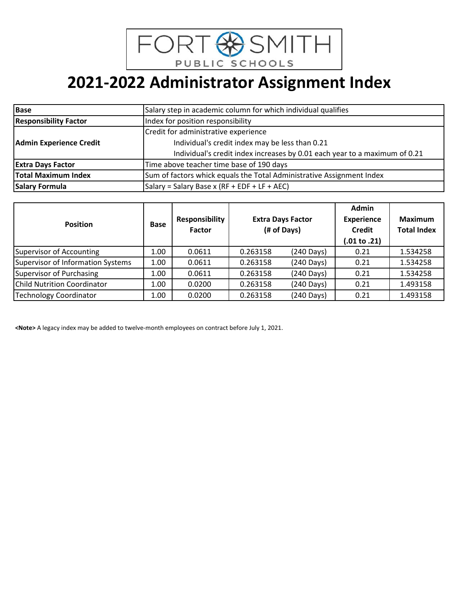

# **2021-2022 Administrator Assignment Index**

| <b>Base</b>                    | Salary step in academic column for which individual qualifies              |  |
|--------------------------------|----------------------------------------------------------------------------|--|
| <b>Responsibility Factor</b>   | Index for position responsibility                                          |  |
|                                | Credit for administrative experience                                       |  |
| <b>Admin Experience Credit</b> | Individual's credit index may be less than 0.21                            |  |
|                                | Individual's credit index increases by 0.01 each year to a maximum of 0.21 |  |
| <b>Extra Days Factor</b>       | Time above teacher time base of 190 days                                   |  |
| <b>Total Maximum Index</b>     | Sum of factors whick equals the Total Administrative Assignment Index      |  |
| <b>Salary Formula</b>          | Salary = Salary Base x (RF + EDF + LF + AEC)                               |  |

| <b>Position</b>                   | <b>Base</b> | <b>Responsibility</b><br><b>Factor</b> |          | <b>Extra Days Factor</b><br>(# of Days) | Admin<br><b>Experience</b><br>Credit<br>(.01 to .21) | Maximum<br><b>Total Index</b> |
|-----------------------------------|-------------|----------------------------------------|----------|-----------------------------------------|------------------------------------------------------|-------------------------------|
| Supervisor of Accounting          | 1.00        | 0.0611                                 | 0.263158 | $(240 \text{ Days})$                    | 0.21                                                 | 1.534258                      |
| Supervisor of Information Systems | 1.00        | 0.0611                                 | 0.263158 | (240 Days)                              | 0.21                                                 | 1.534258                      |
| Supervisor of Purchasing          | 1.00        | 0.0611                                 | 0.263158 | $(240 \text{ Days})$                    | 0.21                                                 | 1.534258                      |
| Child Nutrition Coordinator       | 1.00        | 0.0200                                 | 0.263158 | (240 Days)                              | 0.21                                                 | 1.493158                      |
| Technology Coordinator            | 1.00        | 0.0200                                 | 0.263158 | (240 Days)                              | 0.21                                                 | 1.493158                      |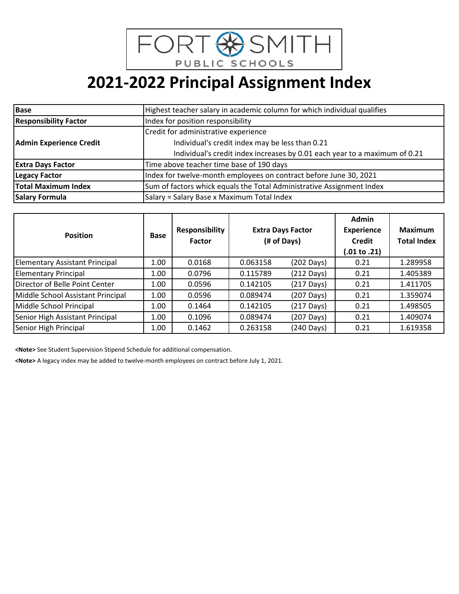

| <b>Base</b>                    | Highest teacher salary in academic column for which individual qualifies   |
|--------------------------------|----------------------------------------------------------------------------|
| <b>Responsibility Factor</b>   | Index for position responsibility                                          |
|                                | Credit for administrative experience                                       |
| <b>Admin Experience Credit</b> | Individual's credit index may be less than 0.21                            |
|                                | Individual's credit index increases by 0.01 each year to a maximum of 0.21 |
| <b>Extra Days Factor</b>       | Time above teacher time base of 190 days                                   |
| <b>Legacy Factor</b>           | Index for twelve-month employees on contract before June 30, 2021          |
| Total Maximum Index            | Sum of factors whick equals the Total Administrative Assignment Index      |
| <b>Salary Formula</b>          | Salary = Salary Base x Maximum Total Index                                 |

| <b>Position</b>                       | <b>Base</b>       | <b>Responsibility</b><br><b>Factor</b> |          | <b>Extra Days Factor</b><br>(# of Days) | <b>Admin</b><br><b>Experience</b><br><b>Credit</b><br>$(.01 \text{ to } .21)$ | <b>Maximum</b><br><b>Total Index</b> |
|---------------------------------------|-------------------|----------------------------------------|----------|-----------------------------------------|-------------------------------------------------------------------------------|--------------------------------------|
| <b>Elementary Assistant Principal</b> | 1.00              | 0.0168                                 | 0.063158 | $(202 \text{ Days})$                    | 0.21                                                                          | 1.289958                             |
| <b>Elementary Principal</b>           | 1.00 <sub>1</sub> | 0.0796                                 | 0.115789 | $(212 \text{ Days})$                    | 0.21                                                                          | 1.405389                             |
| Director of Belle Point Center        | 1.00              | 0.0596                                 | 0.142105 | $(217 \text{ Days})$                    | 0.21                                                                          | 1.411705                             |
| Middle School Assistant Principal     | 1.00              | 0.0596                                 | 0.089474 | $(207 \text{ Days})$                    | 0.21                                                                          | 1.359074                             |
| Middle School Principal               | 1.00              | 0.1464                                 | 0.142105 | $(217 \text{ Days})$                    | 0.21                                                                          | 1.498505                             |
| Senior High Assistant Principal       | 1.00              | 0.1096                                 | 0.089474 | (207 Days)                              | 0.21                                                                          | 1.409074                             |
| Senior High Principal                 | 1.00              | 0.1462                                 | 0.263158 | $(240 \text{ Days})$                    | 0.21                                                                          | 1.619358                             |

**<Note>** See Student Supervision Stipend Schedule for additional compensation.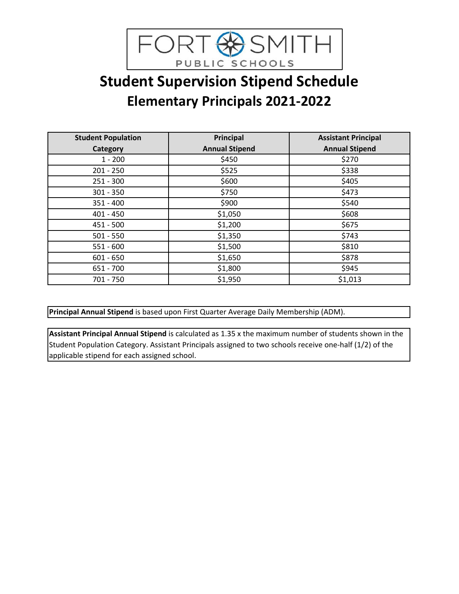

## **Student Supervision Stipend Schedule Elementary Principals 2021-2022**

| <b>Student Population</b> | Principal             | <b>Assistant Principal</b> |
|---------------------------|-----------------------|----------------------------|
| Category                  | <b>Annual Stipend</b> | <b>Annual Stipend</b>      |
| $1 - 200$                 | \$450                 | \$270                      |
| $201 - 250$               | \$525                 | \$338                      |
| $251 - 300$               | \$600                 | \$405                      |
| $301 - 350$               | \$750                 | \$473                      |
| $351 - 400$               | \$900                 | \$540                      |
| $401 - 450$               | \$1,050               | \$608                      |
| $451 - 500$               | \$1,200               | \$675                      |
| $501 - 550$               | \$1,350               | \$743                      |
| $551 - 600$               | \$1,500               | \$810                      |
| $601 - 650$               | \$1,650               | \$878                      |
| $651 - 700$               | \$1,800               | \$945                      |
| 701 - 750                 | \$1,950               | \$1,013                    |

**Principal Annual Stipend** is based upon First Quarter Average Daily Membership (ADM).

**Assistant Principal Annual Stipend** is calculated as 1.35 x the maximum number of students shown in the Student Population Category. Assistant Principals assigned to two schools receive one-half (1/2) of the applicable stipend for each assigned school.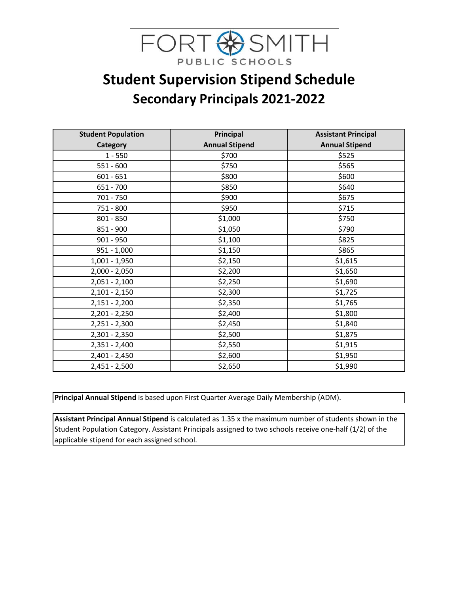

## **Student Supervision Stipend Schedule Secondary Principals 2021-2022**

| <b>Student Population</b> | Principal             | <b>Assistant Principal</b> |
|---------------------------|-----------------------|----------------------------|
| <b>Category</b>           | <b>Annual Stipend</b> | <b>Annual Stipend</b>      |
| $1 - 550$                 | \$700                 | \$525                      |
| $551 - 600$               | \$750                 | \$565                      |
| $601 - 651$               | \$800                 | \$600                      |
| 651 - 700                 | \$850                 | \$640                      |
| 701 - 750                 | \$900                 | \$675                      |
| 751 - 800                 | \$950                 | \$715                      |
| 801 - 850                 | \$1,000               | \$750                      |
| 851 - 900                 | \$1,050               | \$790                      |
| $901 - 950$               | \$1,100               | \$825                      |
| $951 - 1,000$             | \$1,150               | \$865                      |
| $1,001 - 1,950$           | \$2,150               | \$1,615                    |
| $2,000 - 2,050$           | \$2,200               | \$1,650                    |
| $2,051 - 2,100$           | \$2,250               | \$1,690                    |
| $2,101 - 2,150$           | \$2,300               | \$1,725                    |
| $2,151 - 2,200$           | \$2,350               | \$1,765                    |
| $2,201 - 2,250$           | \$2,400               | \$1,800                    |
| $2,251 - 2,300$           | \$2,450               | \$1,840                    |
| $2,301 - 2,350$           | \$2,500               | \$1,875                    |
| $2,351 - 2,400$           | \$2,550               | \$1,915                    |
| $2,401 - 2,450$           | \$2,600               | \$1,950                    |
| $2,451 - 2,500$           | \$2,650               | \$1,990                    |

**Principal Annual Stipend** is based upon First Quarter Average Daily Membership (ADM).

**Assistant Principal Annual Stipend** is calculated as 1.35 x the maximum number of students shown in the Student Population Category. Assistant Principals assigned to two schools receive one-half (1/2) of the applicable stipend for each assigned school.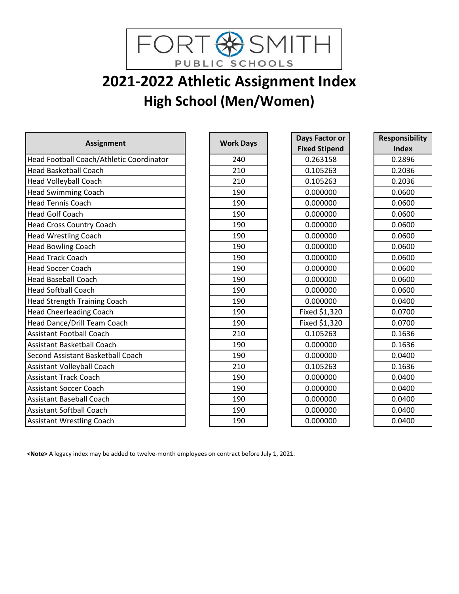

# **2021-2022 Athletic Assignment Index High School (Men/Women)**

| <b>Assignment</b>                        | <b>Work Days</b> | Days Factor or       | Responsib    |
|------------------------------------------|------------------|----------------------|--------------|
|                                          |                  | <b>Fixed Stipend</b> | <b>Index</b> |
| Head Football Coach/Athletic Coordinator | 240              | 0.263158             | 0.2896       |
| <b>Head Basketball Coach</b>             | 210              | 0.105263             | 0.2036       |
| <b>Head Volleyball Coach</b>             | 210              | 0.105263             | 0.2036       |
| <b>Head Swimming Coach</b>               | 190              | 0.000000             | 0.0600       |
| <b>Head Tennis Coach</b>                 | 190              | 0.000000             | 0.0600       |
| <b>Head Golf Coach</b>                   | 190              | 0.000000             | 0.0600       |
| <b>Head Cross Country Coach</b>          | 190              | 0.000000             | 0.0600       |
| <b>Head Wrestling Coach</b>              | 190              | 0.000000             | 0.0600       |
| <b>Head Bowling Coach</b>                | 190              | 0.000000             | 0.0600       |
| <b>Head Track Coach</b>                  | 190              | 0.000000             | 0.0600       |
| <b>Head Soccer Coach</b>                 | 190              | 0.000000             | 0.0600       |
| <b>Head Baseball Coach</b>               | 190              | 0.000000             | 0.0600       |
| <b>Head Softball Coach</b>               | 190              | 0.000000             | 0.0600       |
| <b>Head Strength Training Coach</b>      | 190              | 0.000000             | 0.0400       |
| <b>Head Cheerleading Coach</b>           | 190              | Fixed \$1,320        | 0.0700       |
| Head Dance/Drill Team Coach              | 190              | Fixed \$1,320        | 0.0700       |
| <b>Assistant Football Coach</b>          | 210              | 0.105263             | 0.1636       |
| <b>Assistant Basketball Coach</b>        | 190              | 0.000000             | 0.1636       |
| Second Assistant Basketball Coach        | 190              | 0.000000             | 0.0400       |
| Assistant Volleyball Coach               | 210              | 0.105263             | 0.1636       |
| <b>Assistant Track Coach</b>             | 190              | 0.000000             | 0.0400       |
| <b>Assistant Soccer Coach</b>            | 190              | 0.000000             | 0.0400       |
| <b>Assistant Baseball Coach</b>          | 190              | 0.000000             | 0.0400       |
| <b>Assistant Softball Coach</b>          | 190              | 0.000000             | 0.0400       |
| <b>Assistant Wrestling Coach</b>         | 190              | 0.000000             | 0.0400       |

| <b>Work Days</b> |
|------------------|
| 240              |
| 210              |
| 210              |
| 190              |
| 190              |
| 190              |
| 190              |
| 190              |
| 190              |
| 190              |
| 190              |
| 190              |
| 190              |
| 190              |
| 190              |
| 190              |
| 210              |
| 190              |
| 190              |
| 210              |
| 190              |
| 190              |
| 190              |
| 190              |
| 190              |

| Days Factor or       |
|----------------------|
| <b>Fixed Stipend</b> |
| 0.263158             |
| 0.105263             |
| 0.105263             |
| 0.000000             |
| 0.000000             |
| 0.000000             |
| 0.000000             |
| 0.000000             |
| 0.000000             |
| 0.000000             |
| 0.000000             |
| 0.000000             |
| 0.000000             |
| 0.000000             |
| Fixed \$1,320        |
| Fixed \$1,320        |
| 0.105263             |
| 0.000000             |
| 0.000000             |
| 0.105263             |
| 0.000000             |
| 0.000000             |
| 0.000000             |
| 0.000000             |
| 0.000000             |
|                      |

| <b>Responsibility</b> |
|-----------------------|
| Index                 |
| 0.2896                |
| 0.2036                |
| 0.2036                |
| 0.0600                |
| 0.0600                |
| 0.0600                |
| 0.0600                |
| 0.0600                |
| 0.0600                |
| 0.0600                |
| 0.0600                |
| 0.0600                |
| 0.0600                |
| 0.0400                |
| 0.0700                |
| 0.0700                |
| 0.1636                |
| 0.1636                |
| 0.0400                |
| 0.1636                |
| 0.0400                |
| 0.0400                |
| 0.0400                |
| 0.0400                |
| 0.0400                |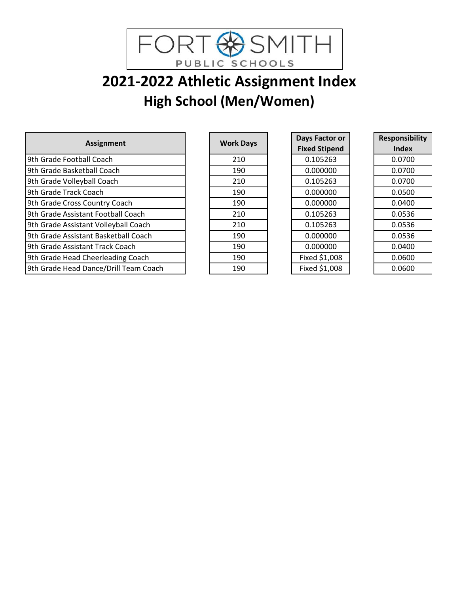

# **2021-2022 Athletic Assignment Index High School (Men/Women)**

|                                       |                  | Days Factor or       | <b>Responsib</b> |
|---------------------------------------|------------------|----------------------|------------------|
| <b>Assignment</b>                     | <b>Work Days</b> | <b>Fixed Stipend</b> | <b>Index</b>     |
| 9th Grade Football Coach              | 210              | 0.105263             | 0.0700           |
| 9th Grade Basketball Coach            | 190              | 0.000000             | 0.0700           |
| 9th Grade Volleyball Coach            | 210              | 0.105263             | 0.0700           |
| 9th Grade Track Coach                 | 190              | 0.000000             | 0.0500           |
| 9th Grade Cross Country Coach         | 190              | 0.000000             | 0.0400           |
| 9th Grade Assistant Football Coach    | 210              | 0.105263             | 0.0536           |
| 9th Grade Assistant Volleyball Coach  | 210              | 0.105263             | 0.0536           |
| 9th Grade Assistant Basketball Coach  | 190              | 0.000000             | 0.0536           |
| 9th Grade Assistant Track Coach       | 190              | 0.000000             | 0.0400           |
| 9th Grade Head Cheerleading Coach     | 190              | Fixed \$1,008        | 0.0600           |
| 9th Grade Head Dance/Drill Team Coach | 190              | Fixed \$1,008        | 0.0600           |

| <b>Work Days</b> |
|------------------|
| 210              |
| 190              |
| 210              |
| 190              |
| 190              |
| 210              |
| 210              |
| 190              |
| 190              |
| 190              |
| 190              |

| Days Factor or       |
|----------------------|
| <b>Fixed Stipend</b> |
| 0.105263             |
| 0.000000             |
| 0.105263             |
| 0.000000             |
| 0.000000             |
| 0.105263             |
| 0.105263             |
| 0.000000             |
| 0.000000             |
| Fixed \$1,008        |
| Fixed \$1,008        |

| Responsibility |
|----------------|
| Index          |
| 0.0700         |
| 0.0700         |
| 0.0700         |
| 0.0500         |
| 0.0400         |
| 0.0536         |
| 0.0536         |
| 0.0536         |
| 0.0400         |
| 0.0600         |
| 0.0600         |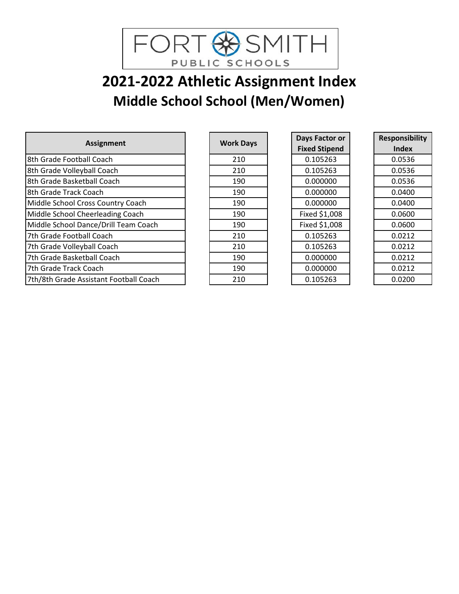

# **2021-2022 Athletic Assignment Index Middle School School (Men/Women)**

|                                        |                  | Days Factor or       | Responsib    |
|----------------------------------------|------------------|----------------------|--------------|
| <b>Assignment</b>                      | <b>Work Days</b> | <b>Fixed Stipend</b> | <b>Index</b> |
| 8th Grade Football Coach               | 210              | 0.105263             | 0.0536       |
| 8th Grade Volleyball Coach             | 210              | 0.105263             | 0.0536       |
| 8th Grade Basketball Coach             | 190              | 0.000000             | 0.0536       |
| 8th Grade Track Coach                  | 190              | 0.000000             | 0.0400       |
| Middle School Cross Country Coach      | 190              | 0.000000             | 0.0400       |
| Middle School Cheerleading Coach       | 190              | Fixed \$1,008        | 0.0600       |
| Middle School Dance/Drill Team Coach   | 190              | Fixed \$1,008        | 0.0600       |
| 7th Grade Football Coach               | 210              | 0.105263             | 0.0212       |
| 7th Grade Volleyball Coach             | 210              | 0.105263             | 0.0212       |
| 7th Grade Basketball Coach             | 190              | 0.000000             | 0.0212       |
| 7th Grade Track Coach                  | 190              | 0.000000             | 0.0212       |
| 7th/8th Grade Assistant Football Coach | 210              | 0.105263             | 0.0200       |

| <b>Work Days</b> |
|------------------|
| 210              |
| 210              |
| 190              |
| 190              |
| 190              |
| 190              |
| 190              |
| 210              |
| 210              |
| 190              |
| 190              |
| 210              |

| Days Factor or       |
|----------------------|
| <b>Fixed Stipend</b> |
| 0.105263             |
| 0.105263             |
| 0.000000             |
| 0.000000             |
| 0.000000             |
| Fixed \$1,008        |
| Fixed \$1,008        |
| 0.105263             |
| 0.105263             |
| 0.000000             |
| 0.000000             |
| 0.105263             |

| <b>Responsibility</b> |
|-----------------------|
| Index                 |
| 0.0536                |
| 0.0536                |
| 0.0536                |
| 0.0400                |
| 0.0400                |
| 0.0600                |
| 0.0600                |
| 0.0212                |
| 0.0212                |
| 0.0212                |
| 0.0212                |
| 0.0200                |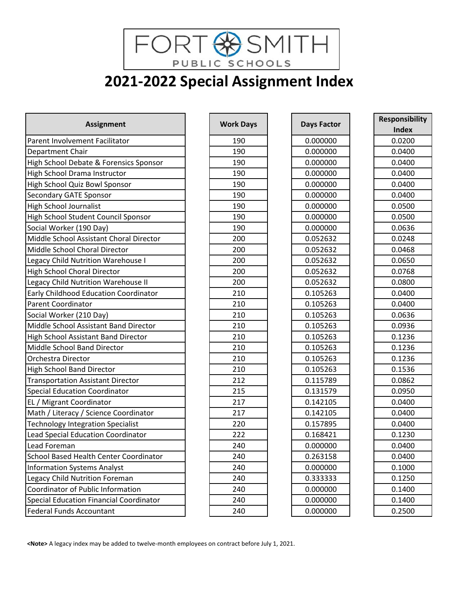FORT SSMITH **2021-2022 Special Assignment Index**

| <b>Assignment</b>                              | <b>Work Days</b> | <b>Days Factor</b> | <b>Responsibility</b> |
|------------------------------------------------|------------------|--------------------|-----------------------|
|                                                |                  |                    | <b>Index</b>          |
| Parent Involvement Facilitator                 | 190              | 0.000000           | 0.0200                |
| Department Chair                               | 190              | 0.000000           | 0.0400                |
| High School Debate & Forensics Sponsor         | 190              | 0.000000           | 0.0400                |
| High School Drama Instructor                   | 190              | 0.000000           | 0.0400                |
| High School Quiz Bowl Sponsor                  | 190              | 0.000000           | 0.0400                |
| <b>Secondary GATE Sponsor</b>                  | 190              | 0.000000           | 0.0400                |
| <b>High School Journalist</b>                  | 190              | 0.000000           | 0.0500                |
| High School Student Council Sponsor            | 190              | 0.000000           | 0.0500                |
| Social Worker (190 Day)                        | 190              | 0.000000           | 0.0636                |
| Middle School Assistant Choral Director        | 200              | 0.052632           | 0.0248                |
| Middle School Choral Director                  | 200              | 0.052632           | 0.0468                |
| Legacy Child Nutrition Warehouse I             | 200              | 0.052632           | 0.0650                |
| <b>High School Choral Director</b>             | 200              | 0.052632           | 0.0768                |
| Legacy Child Nutrition Warehouse II            | 200              | 0.052632           | 0.0800                |
| Early Childhood Education Coordinator          | 210              | 0.105263           | 0.0400                |
| Parent Coordinator                             | 210              | 0.105263           | 0.0400                |
| Social Worker (210 Day)                        | 210              | 0.105263           | 0.0636                |
| Middle School Assistant Band Director          | 210              | 0.105263           | 0.0936                |
| High School Assistant Band Director            | 210              | 0.105263           | 0.1236                |
| Middle School Band Director                    | 210              | 0.105263           | 0.1236                |
| Orchestra Director                             | 210              | 0.105263           | 0.1236                |
| <b>High School Band Director</b>               | 210              | 0.105263           | 0.1536                |
| <b>Transportation Assistant Director</b>       | 212              | 0.115789           | 0.0862                |
| <b>Special Education Coordinator</b>           | 215              | 0.131579           | 0.0950                |
| EL / Migrant Coordinator                       | 217              | 0.142105           | 0.0400                |
| Math / Literacy / Science Coordinator          | 217              | 0.142105           | 0.0400                |
| <b>Technology Integration Specialist</b>       | 220              | 0.157895           | 0.0400                |
| Lead Special Education Coordinator             | 222              | 0.168421           | 0.1230                |
| Lead Foreman                                   | 240              | 0.000000           | 0.0400                |
| School Based Health Center Coordinator         | 240              | 0.263158           | 0.0400                |
| <b>Information Systems Analyst</b>             | 240              | 0.000000           | 0.1000                |
| Legacy Child Nutrition Foreman                 | 240              | 0.333333           | 0.1250                |
| Coordinator of Public Information              | 240              | 0.000000           | 0.1400                |
| <b>Special Education Financial Coordinator</b> | 240              | 0.000000           | 0.1400                |
| <b>Federal Funds Accountant</b>                | 240              | 0.000000           | 0.2500                |

| <b>Work Days</b> |
|------------------|
| 190              |
| 190              |
| 190              |
| 190              |
| 190              |
| 190              |
| 190              |
| 190              |
| 190              |
| 200              |
| 200              |
| 200              |
| 200              |
| 200              |
| 210              |
| 210              |
| 210              |
| 210              |
| _<br>210         |
| 210              |
| 210              |
| 210              |
| 212              |
| 215              |
| 217              |
| 217              |
| 220              |
| 222              |
| 240              |
| 240              |
| 240              |
| 240              |
| 240              |
| 240              |
| 240              |

| <b>Days Factor</b> |
|--------------------|
| 0.000000           |
| 0.000000           |
| 0.000000           |
| 0.000000           |
| 0.000000           |
| 0.000000           |
| 0.000000           |
| 0.000000           |
| 0.000000           |
| 0.052632           |
| 0.052632           |
| 0.052632           |
| 0.052632           |
| 0.052632           |
| 0.105263           |
| 0.105263           |
| 0.105263           |
| 0.105263           |
| 0.105263           |
| 0.105263           |
| 0.105263           |
| 0.105263           |
| 0.115789           |
| 0.131579           |
| 0.142105           |
| 0.142105           |
| 0.157895           |
| 0.168421           |
| 0.000000           |
| 0.263158           |
| 0.000000           |
| 0.333333           |
| 0.000000           |
| 0.000000           |
| 0.000000           |

| Responsibility |
|----------------|
| Index          |
| 0.0200         |
| 0.0400         |
| 0.0400         |
| 0.0400         |
| 0.0400         |
| 0.0400         |
| 0.0500         |
| 0.0500         |
| 0.0636         |
| 0.0248         |
| 0.0468         |
| 0.0650         |
| 0.0768         |
| 0.0800         |
| 0.0400         |
| 0.0400         |
| 0.0636         |
| 0.0936         |
| 0.1236         |
| 0.1236         |
| 0.1236         |
| 0.1536         |
| 0.0862         |
| 0.0950         |
| 0.0400         |
| 0.0400         |
| 0.0400         |
| 0.1230         |
| 0.0400         |
| 0.0400         |
| 0.1000         |
| 0.1250         |
| 0.1400         |
| 0.1400         |
| 0.2500         |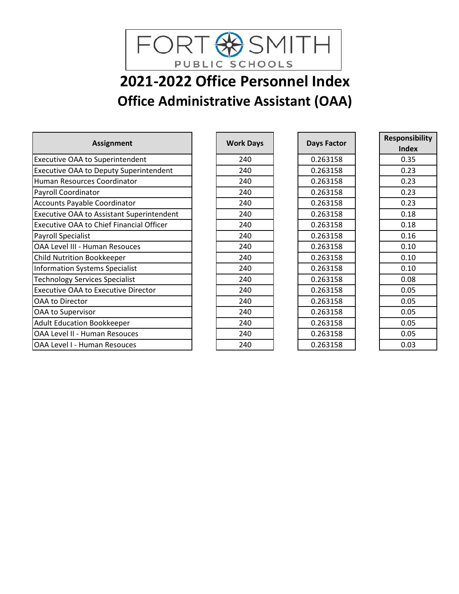

# **2021-2022 Office Personnel Index Office Administrative Assistant (OAA)**

| <b>Assignment</b>                                | <b>Work Days</b> | <b>Days Factor</b> | <b>Responsibility</b> |
|--------------------------------------------------|------------------|--------------------|-----------------------|
|                                                  |                  |                    | <b>Index</b>          |
| <b>Executive OAA to Superintendent</b>           | 240              | 0.263158           | 0.35                  |
| <b>Executive OAA to Deputy Superintendent</b>    | 240              | 0.263158           | 0.23                  |
| Human Resources Coordinator                      | 240              | 0.263158           | 0.23                  |
| Payroll Coordinator                              | 240              | 0.263158           | 0.23                  |
| Accounts Payable Coordinator                     | 240              | 0.263158           | 0.23                  |
| <b>Executive OAA to Assistant Superintendent</b> | 240              | 0.263158           | 0.18                  |
| <b>Executive OAA to Chief Financial Officer</b>  | 240              | 0.263158           | 0.18                  |
| <b>Payroll Specialist</b>                        | 240              | 0.263158           | 0.16                  |
| OAA Level III - Human Resouces                   | 240              | 0.263158           | 0.10                  |
| <b>Child Nutrition Bookkeeper</b>                | 240              | 0.263158           | 0.10                  |
| <b>Information Systems Specialist</b>            | 240              | 0.263158           | 0.10                  |
| <b>Technology Services Specialist</b>            | 240              | 0.263158           | 0.08                  |
| <b>Executive OAA to Executive Director</b>       | 240              | 0.263158           | 0.05                  |
| OAA to Director                                  | 240              | 0.263158           | 0.05                  |
| OAA to Supervisor                                | 240              | 0.263158           | 0.05                  |
| <b>Adult Education Bookkeeper</b>                | 240              | 0.263158           | 0.05                  |
| OAA Level II - Human Resouces                    | 240              | 0.263158           | 0.05                  |
| OAA Level I - Human Resouces                     | 240              | 0.263158           | 0.03                  |

| <b>Work Days</b> |
|------------------|
| 240              |
| 240              |
| 240              |
| 240              |
| 240              |
| 240              |
| 240              |
| 240              |
| 240              |
| 240              |
| 240              |
| 240              |
| 240              |
| 240              |
| 240              |
| 240              |
| 240              |
| 240              |

| Days Factor |
|-------------|
| 0.263158    |
| 0.263158    |
| 0.263158    |
| 0.263158    |
| 0.263158    |
| 0.263158    |
| 0.263158    |
| 0.263158    |
| 0.263158    |
| 0.263158    |
| 0.263158    |
| 0.263158    |
| 0.263158    |
| 0.263158    |
| 0.263158    |
| 0.263158    |
| 0.263158    |
| 0.263158    |
|             |

| <b>Responsibility</b> |
|-----------------------|
| Index                 |
| 0.35                  |
| 0.23                  |
| 0.23                  |
| 0.23                  |
| 0.23                  |
| 0.18                  |
| 0.18                  |
| 0.16                  |
| 0.10                  |
| 0.10                  |
| 0.10                  |
| 0.08                  |
| 0.05                  |
| 0.05                  |
| 0.05                  |
| 0.05                  |
| 0.05                  |
| 0.03                  |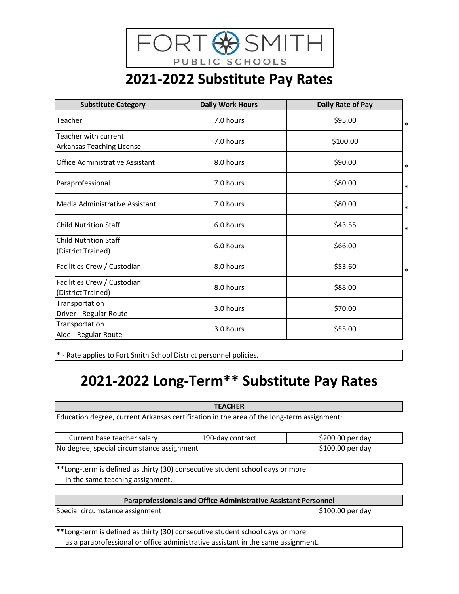

## **2021-2022 Substitute Pay Rates**

| <b>Substitute Category</b>                         | <b>Daily Work Hours</b> | Daily Rate of Pay |        |
|----------------------------------------------------|-------------------------|-------------------|--------|
| Teacher                                            | 7.0 hours               | \$95.00           | $\ast$ |
| Teacher with current<br>Arkansas Teaching License  | 7.0 hours               | \$100.00          |        |
| <b>Office Administrative Assistant</b>             | 8.0 hours               | \$90.00           | $\ast$ |
| Paraprofessional                                   | 7.0 hours               | \$80.00           | $\ast$ |
| Media Administrative Assistant                     | 7.0 hours               | \$80.00           | $\ast$ |
| <b>Child Nutrition Staff</b>                       | 6.0 hours               | \$43.55           | *      |
| <b>Child Nutrition Staff</b><br>(District Trained) | 6.0 hours               | \$66.00           |        |
| Facilities Crew / Custodian                        | 8.0 hours               | \$53.60           | *      |
| Facilities Crew / Custodian<br>(District Trained)  | 8.0 hours               | \$88.00           |        |
| Transportation<br>Driver - Regular Route           | 3.0 hours               | \$70.00           |        |
| Transportation<br>Aide - Regular Route             | 3.0 hours               | \$55.00           |        |

**\*** - Rate applies to Fort Smith School District personnel policies.

## **2021-2022 Long-Term\*\* Substitute Pay Rates**

**TEACHER** Education degree, current Arkansas certification in the area of the long-term assignment:

| Current base teacher salary                | 190-day contract | $$200.00$ per day |
|--------------------------------------------|------------------|-------------------|
| No degree, special circumstance assignment |                  | $$100.00$ per day |

\*\*Long-term is defined as thirty (30) consecutive student school days or more in the same teaching assignment.

**Paraprofessionals and Office Administrative Assistant Personnel**

Special circumstance assignment  $$100.00$  per day

\*\*Long-term is defined as thirty (30) consecutive student school days or more as a paraprofessional or office administrative assistant in the same assignment.